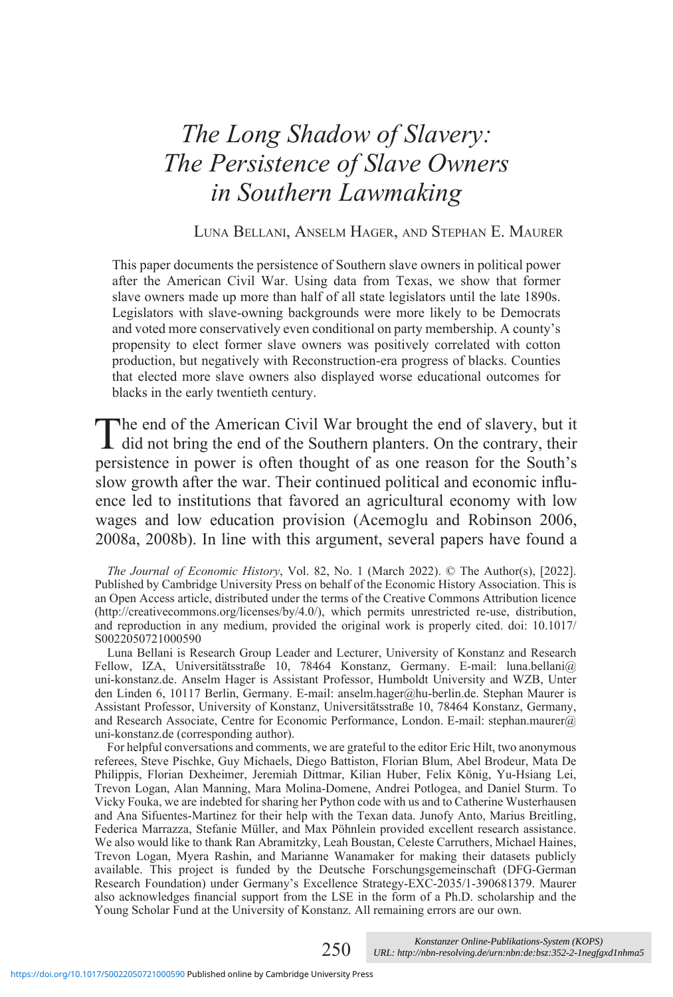# *The Long Shadow of Slavery: The Persistence of Slave Owners in Southern Lawmaking*

## Luna Bellani, Anselm Hager, and Stephan E. Maurer

This paper documents the persistence of Southern slave owners in political power after the American Civil War. Using data from Texas, we show that former slave owners made up more than half of all state legislators until the late 1890s. Legislators with slave-owning backgrounds were more likely to be Democrats and voted more conservatively even conditional on party membership. A county's propensity to elect former slave owners was positively correlated with cotton production, but negatively with Reconstruction-era progress of blacks. Counties that elected more slave owners also displayed worse educational outcomes for blacks in the early twentieth century.

The end of the American Civil War brought the end of slavery, but it did not bring the end of the Southern planters. On the contrary, their persistence in power is often thought of as one reason for the South's slow growth after the war. Their continued political and economic influence led to institutions that favored an agricultural economy with low wages and low education provision (Acemoglu and Robinson 2006, 2008a, 2008b). In line with this argument, several papers have found a

Luna Bellani is Research Group Leader and Lecturer, University of Konstanz and Research Fellow, IZA, Universitätsstraße 10, 78464 Konstanz, Germany. E-mail: luna.bellani@ uni-konstanz.de. Anselm Hager is Assistant Professor, Humboldt University and WZB, Unter den Linden 6, 10117 Berlin, Germany. E-mail: anselm.hager@hu-berlin.de. Stephan Maurer is Assistant Professor, University of Konstanz, Universitätsstraße 10, 78464 Konstanz, Germany, and Research Associate, Centre for Economic Performance, London. E-mail: stephan.maurer@ uni-konstanz.de (corresponding author).

For helpful conversations and comments, we are grateful to the editor Eric Hilt, two anonymous referees, Steve Pischke, Guy Michaels, Diego Battiston, Florian Blum, Abel Brodeur, Mata De Philippis, Florian Dexheimer, Jeremiah Dittmar, Kilian Huber, Felix König, Yu-Hsiang Lei, Trevon Logan, Alan Manning, Mara Molina-Domene, Andrei Potlogea, and Daniel Sturm. To Vicky Fouka, we are indebted for sharing her Python code with us and to Catherine Wusterhausen and Ana Sifuentes-Martinez for their help with the Texan data. Junofy Anto, Marius Breitling, Federica Marrazza, Stefanie Müller, and Max Pöhnlein provided excellent research assistance. We also would like to thank Ran Abramitzky, Leah Boustan, Celeste Carruthers, Michael Haines, Trevon Logan, Myera Rashin, and Marianne Wanamaker for making their datasets publicly available. This project is funded by the Deutsche Forschungsgemeinschaft (DFG-German Research Foundation) under Germany's Excellence Strategy-EXC-2035/1-390681379. Maurer also acknowledges financial support from the LSE in the form of a Ph.D. scholarship and the Young Scholar Fund at the University of Konstanz. All remaining errors are our own.

250

*The Journal of Economic History*, Vol. 82, No. 1 (March 2022). © The Author(s), [2022]. Published by Cambridge University Press on behalf of the Economic History Association. This is an Open Access article, distributed under the terms of the Creative Commons Attribution licence (http://creativecommons.org/licenses/by/4.0/), which permits unrestricted re-use, distribution, and reproduction in any medium, provided the original work is properly cited. doi: 10.1017/ S0022050721000590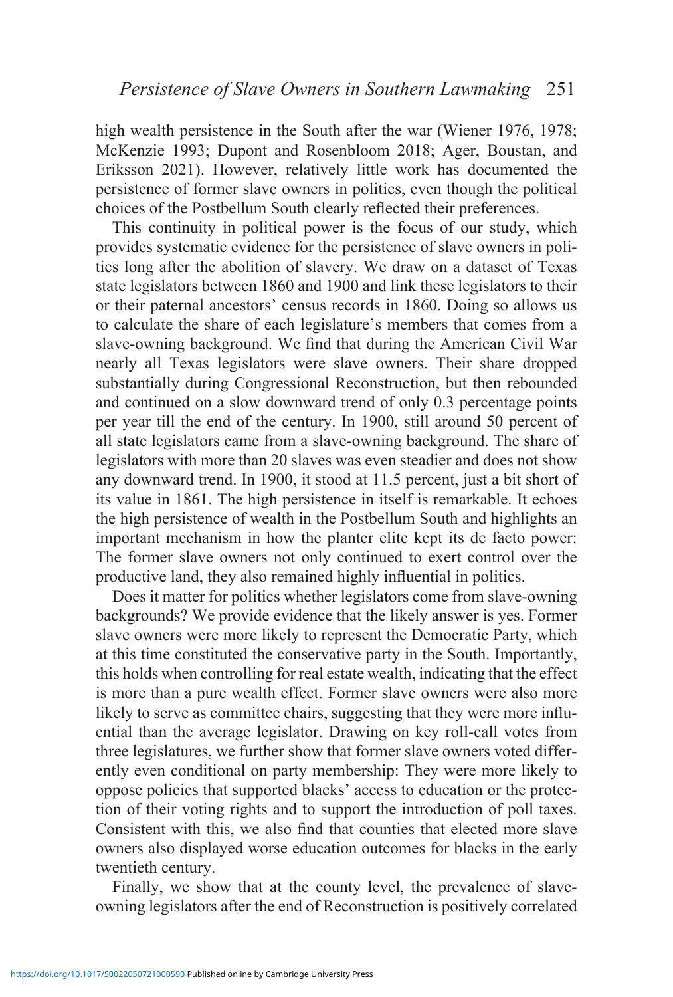high wealth persistence in the South after the war (Wiener 1976, 1978; McKenzie 1993; Dupont and Rosenbloom 2018; Ager, Boustan, and Eriksson 2021). However, relatively little work has documented the persistence of former slave owners in politics, even though the political choices of the Postbellum South clearly reflected their preferences.

This continuity in political power is the focus of our study, which provides systematic evidence for the persistence of slave owners in politics long after the abolition of slavery. We draw on a dataset of Texas state legislators between 1860 and 1900 and link these legislators to their or their paternal ancestors' census records in 1860. Doing so allows us to calculate the share of each legislature's members that comes from a slave-owning background. We find that during the American Civil War nearly all Texas legislators were slave owners. Their share dropped substantially during Congressional Reconstruction, but then rebounded and continued on a slow downward trend of only 0.3 percentage points per year till the end of the century. In 1900, still around 50 percent of all state legislators came from a slave-owning background. The share of legislators with more than 20 slaves was even steadier and does not show any downward trend. In 1900, it stood at 11.5 percent, just a bit short of its value in 1861. The high persistence in itself is remarkable. It echoes the high persistence of wealth in the Postbellum South and highlights an important mechanism in how the planter elite kept its de facto power: The former slave owners not only continued to exert control over the productive land, they also remained highly influential in politics.

Does it matter for politics whether legislators come from slave-owning backgrounds? We provide evidence that the likely answer is yes. Former slave owners were more likely to represent the Democratic Party, which at this time constituted the conservative party in the South. Importantly, this holds when controlling for real estate wealth, indicating that the effect is more than a pure wealth effect. Former slave owners were also more likely to serve as committee chairs, suggesting that they were more influential than the average legislator. Drawing on key roll-call votes from three legislatures, we further show that former slave owners voted differently even conditional on party membership: They were more likely to oppose policies that supported blacks' access to education or the protection of their voting rights and to support the introduction of poll taxes. Consistent with this, we also find that counties that elected more slave owners also displayed worse education outcomes for blacks in the early twentieth century.

Finally, we show that at the county level, the prevalence of slaveowning legislators after the end of Reconstruction is positively correlated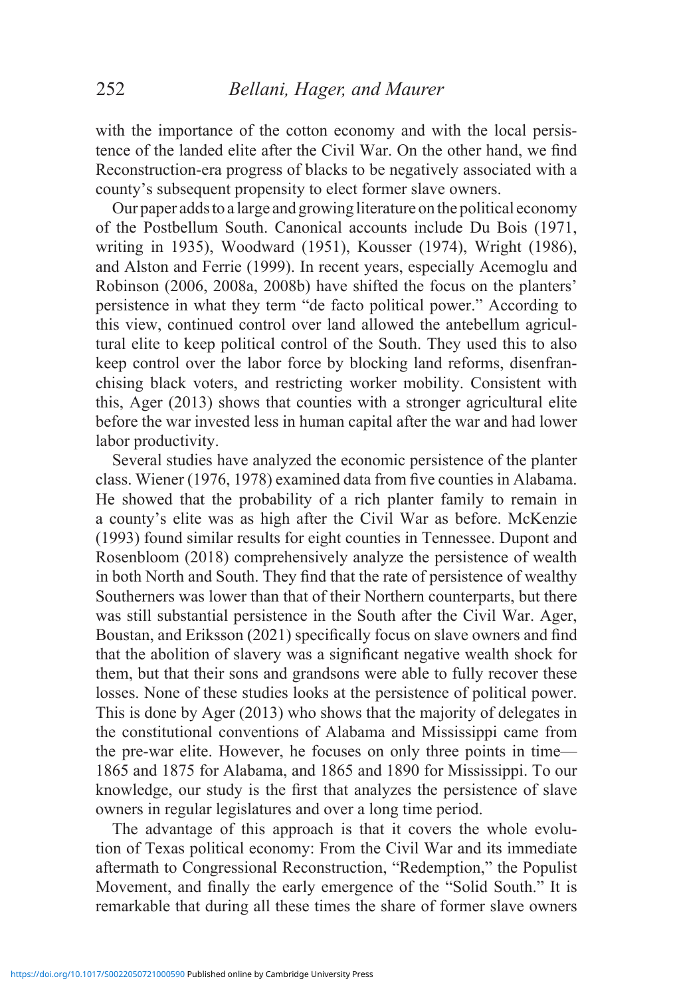with the importance of the cotton economy and with the local persistence of the landed elite after the Civil War. On the other hand, we find Reconstruction-era progress of blacks to be negatively associated with a county's subsequent propensity to elect former slave owners.

Our paper adds to a large and growing literature on the political economy of the Postbellum South. Canonical accounts include Du Bois (1971, writing in 1935), Woodward (1951), Kousser (1974), Wright (1986), and Alston and Ferrie (1999). In recent years, especially Acemoglu and Robinson (2006, 2008a, 2008b) have shifted the focus on the planters' persistence in what they term "de facto political power." According to this view, continued control over land allowed the antebellum agricultural elite to keep political control of the South. They used this to also keep control over the labor force by blocking land reforms, disenfranchising black voters, and restricting worker mobility. Consistent with this, Ager (2013) shows that counties with a stronger agricultural elite before the war invested less in human capital after the war and had lower labor productivity.

Several studies have analyzed the economic persistence of the planter class. Wiener (1976, 1978) examined data from five counties in Alabama. He showed that the probability of a rich planter family to remain in a county's elite was as high after the Civil War as before. McKenzie (1993) found similar results for eight counties in Tennessee. Dupont and Rosenbloom (2018) comprehensively analyze the persistence of wealth in both North and South. They find that the rate of persistence of wealthy Southerners was lower than that of their Northern counterparts, but there was still substantial persistence in the South after the Civil War. Ager, Boustan, and Eriksson (2021) specifically focus on slave owners and find that the abolition of slavery was a significant negative wealth shock for them, but that their sons and grandsons were able to fully recover these losses. None of these studies looks at the persistence of political power. This is done by Ager (2013) who shows that the majority of delegates in the constitutional conventions of Alabama and Mississippi came from the pre-war elite. However, he focuses on only three points in time— 1865 and 1875 for Alabama, and 1865 and 1890 for Mississippi. To our knowledge, our study is the first that analyzes the persistence of slave owners in regular legislatures and over a long time period.

The advantage of this approach is that it covers the whole evolution of Texas political economy: From the Civil War and its immediate aftermath to Congressional Reconstruction, "Redemption," the Populist Movement, and finally the early emergence of the "Solid South." It is remarkable that during all these times the share of former slave owners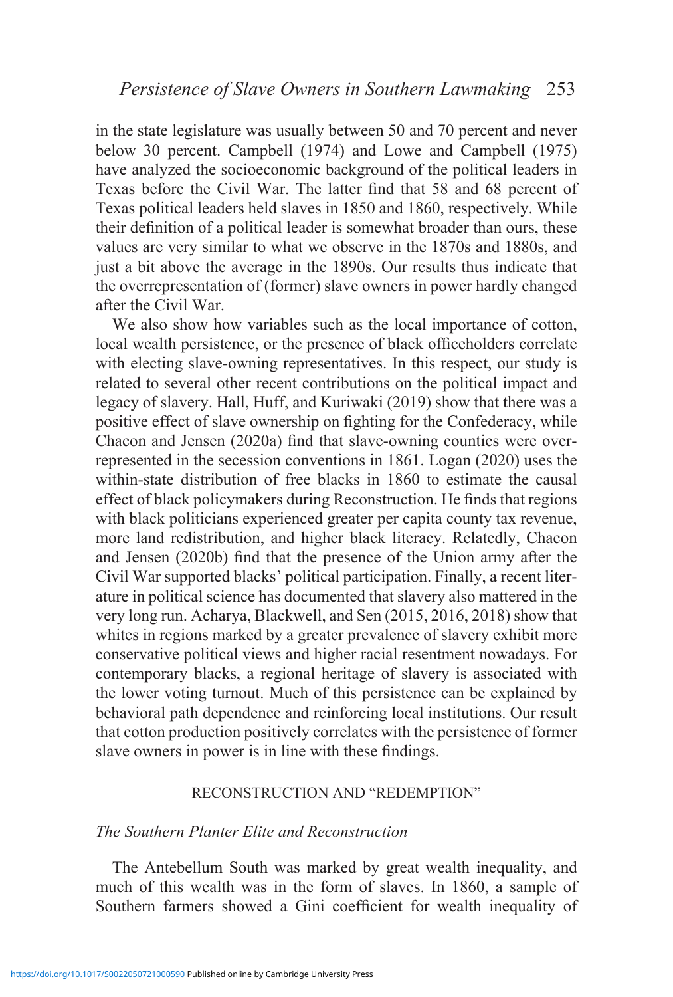in the state legislature was usually between 50 and 70 percent and never below 30 percent. Campbell (1974) and Lowe and Campbell (1975) have analyzed the socioeconomic background of the political leaders in Texas before the Civil War. The latter find that 58 and 68 percent of Texas political leaders held slaves in 1850 and 1860, respectively. While their definition of a political leader is somewhat broader than ours, these values are very similar to what we observe in the 1870s and 1880s, and just a bit above the average in the 1890s. Our results thus indicate that the overrepresentation of (former) slave owners in power hardly changed after the Civil War.

We also show how variables such as the local importance of cotton, local wealth persistence, or the presence of black officeholders correlate with electing slave-owning representatives. In this respect, our study is related to several other recent contributions on the political impact and legacy of slavery. Hall, Huff, and Kuriwaki (2019) show that there was a positive effect of slave ownership on fighting for the Confederacy, while Chacon and Jensen (2020a) find that slave-owning counties were overrepresented in the secession conventions in 1861. Logan (2020) uses the within-state distribution of free blacks in 1860 to estimate the causal effect of black policymakers during Reconstruction. He finds that regions with black politicians experienced greater per capita county tax revenue, more land redistribution, and higher black literacy. Relatedly, Chacon and Jensen (2020b) find that the presence of the Union army after the Civil War supported blacks' political participation. Finally, a recent literature in political science has documented that slavery also mattered in the very long run. Acharya, Blackwell, and Sen (2015, 2016, 2018) show that whites in regions marked by a greater prevalence of slavery exhibit more conservative political views and higher racial resentment nowadays. For contemporary blacks, a regional heritage of slavery is associated with the lower voting turnout. Much of this persistence can be explained by behavioral path dependence and reinforcing local institutions. Our result that cotton production positively correlates with the persistence of former slave owners in power is in line with these findings.

## RECONSTRUCTION AND "REDEMPTION"

## *The Southern Planter Elite and Reconstruction*

The Antebellum South was marked by great wealth inequality, and much of this wealth was in the form of slaves. In 1860, a sample of Southern farmers showed a Gini coefficient for wealth inequality of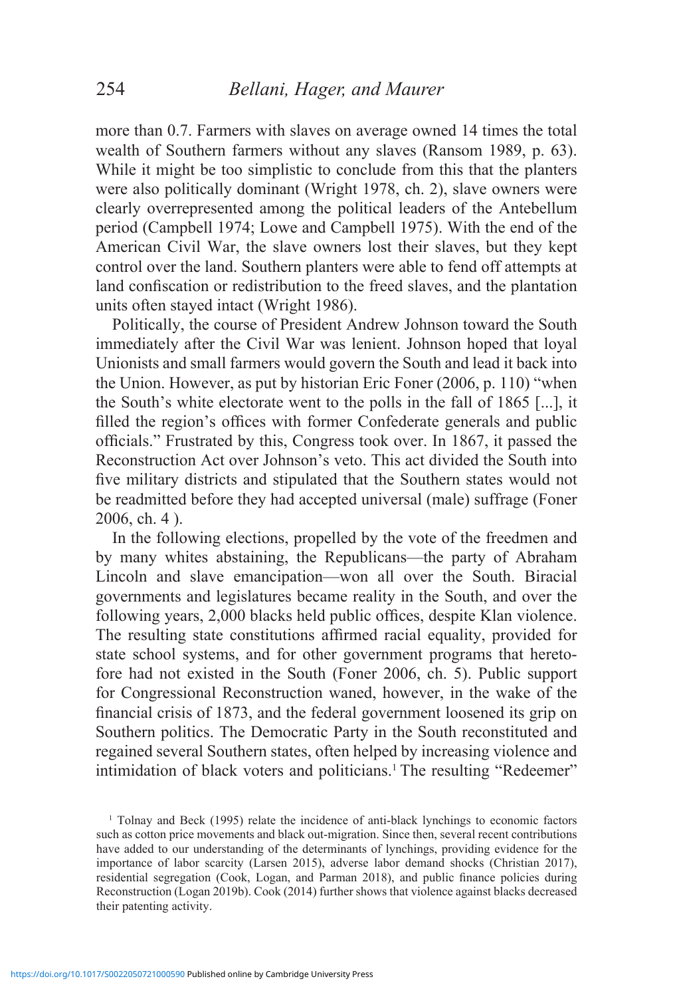more than 0.7. Farmers with slaves on average owned 14 times the total wealth of Southern farmers without any slaves (Ransom 1989, p. 63). While it might be too simplistic to conclude from this that the planters were also politically dominant (Wright 1978, ch. 2), slave owners were clearly overrepresented among the political leaders of the Antebellum period (Campbell 1974; Lowe and Campbell 1975). With the end of the American Civil War, the slave owners lost their slaves, but they kept control over the land. Southern planters were able to fend off attempts at land confiscation or redistribution to the freed slaves, and the plantation units often stayed intact (Wright 1986).

Politically, the course of President Andrew Johnson toward the South immediately after the Civil War was lenient. Johnson hoped that loyal Unionists and small farmers would govern the South and lead it back into the Union. However, as put by historian Eric Foner (2006, p. 110) "when the South's white electorate went to the polls in the fall of 1865 [...], it filled the region's offices with former Confederate generals and public officials." Frustrated by this, Congress took over. In 1867, it passed the Reconstruction Act over Johnson's veto. This act divided the South into five military districts and stipulated that the Southern states would not be readmitted before they had accepted universal (male) suffrage (Foner 2006, ch. 4 ).

In the following elections, propelled by the vote of the freedmen and by many whites abstaining, the Republicans—the party of Abraham Lincoln and slave emancipation—won all over the South. Biracial governments and legislatures became reality in the South, and over the following years, 2,000 blacks held public offices, despite Klan violence. The resulting state constitutions affirmed racial equality, provided for state school systems, and for other government programs that heretofore had not existed in the South (Foner 2006, ch. 5). Public support for Congressional Reconstruction waned, however, in the wake of the financial crisis of 1873, and the federal government loosened its grip on Southern politics. The Democratic Party in the South reconstituted and regained several Southern states, often helped by increasing violence and intimidation of black voters and politicians.<sup>1</sup> The resulting "Redeemer"

<sup>1</sup> Tolnay and Beck (1995) relate the incidence of anti-black lynchings to economic factors such as cotton price movements and black out-migration. Since then, several recent contributions have added to our understanding of the determinants of lynchings, providing evidence for the importance of labor scarcity (Larsen 2015), adverse labor demand shocks (Christian 2017), residential segregation (Cook, Logan, and Parman 2018), and public finance policies during Reconstruction (Logan 2019b). Cook (2014) further shows that violence against blacks decreased their patenting activity.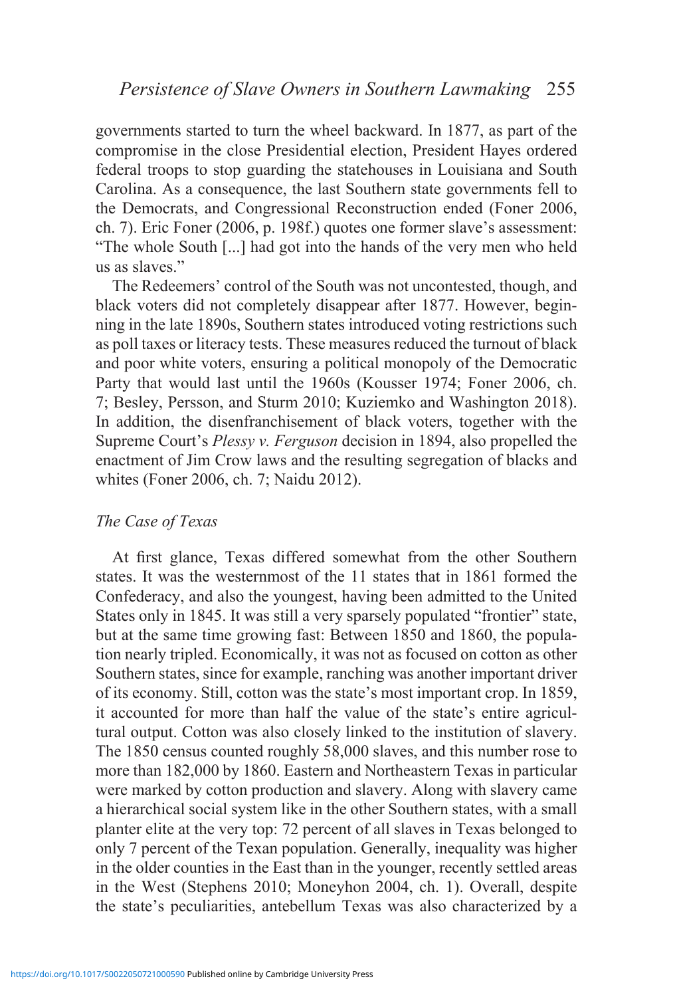governments started to turn the wheel backward. In 1877, as part of the compromise in the close Presidential election, President Hayes ordered federal troops to stop guarding the statehouses in Louisiana and South Carolina. As a consequence, the last Southern state governments fell to the Democrats, and Congressional Reconstruction ended (Foner 2006, ch. 7). Eric Foner (2006, p. 198f.) quotes one former slave's assessment: "The whole South [...] had got into the hands of the very men who held us as slaves."

The Redeemers' control of the South was not uncontested, though, and black voters did not completely disappear after 1877. However, beginning in the late 1890s, Southern states introduced voting restrictions such as poll taxes or literacy tests. These measures reduced the turnout of black and poor white voters, ensuring a political monopoly of the Democratic Party that would last until the 1960s (Kousser 1974; Foner 2006, ch. 7; Besley, Persson, and Sturm 2010; Kuziemko and Washington 2018). In addition, the disenfranchisement of black voters, together with the Supreme Court's *Plessy v. Ferguson* decision in 1894, also propelled the enactment of Jim Crow laws and the resulting segregation of blacks and whites (Foner 2006, ch. 7; Naidu 2012).

## *The Case of Texas*

At first glance, Texas differed somewhat from the other Southern states. It was the westernmost of the 11 states that in 1861 formed the Confederacy, and also the youngest, having been admitted to the United States only in 1845. It was still a very sparsely populated "frontier" state, but at the same time growing fast: Between 1850 and 1860, the population nearly tripled. Economically, it was not as focused on cotton as other Southern states, since for example, ranching was another important driver of its economy. Still, cotton was the state's most important crop. In 1859, it accounted for more than half the value of the state's entire agricultural output. Cotton was also closely linked to the institution of slavery. The 1850 census counted roughly 58,000 slaves, and this number rose to more than 182,000 by 1860. Eastern and Northeastern Texas in particular were marked by cotton production and slavery. Along with slavery came a hierarchical social system like in the other Southern states, with a small planter elite at the very top: 72 percent of all slaves in Texas belonged to only 7 percent of the Texan population. Generally, inequality was higher in the older counties in the East than in the younger, recently settled areas in the West (Stephens 2010; Moneyhon 2004, ch. 1). Overall, despite the state's peculiarities, antebellum Texas was also characterized by a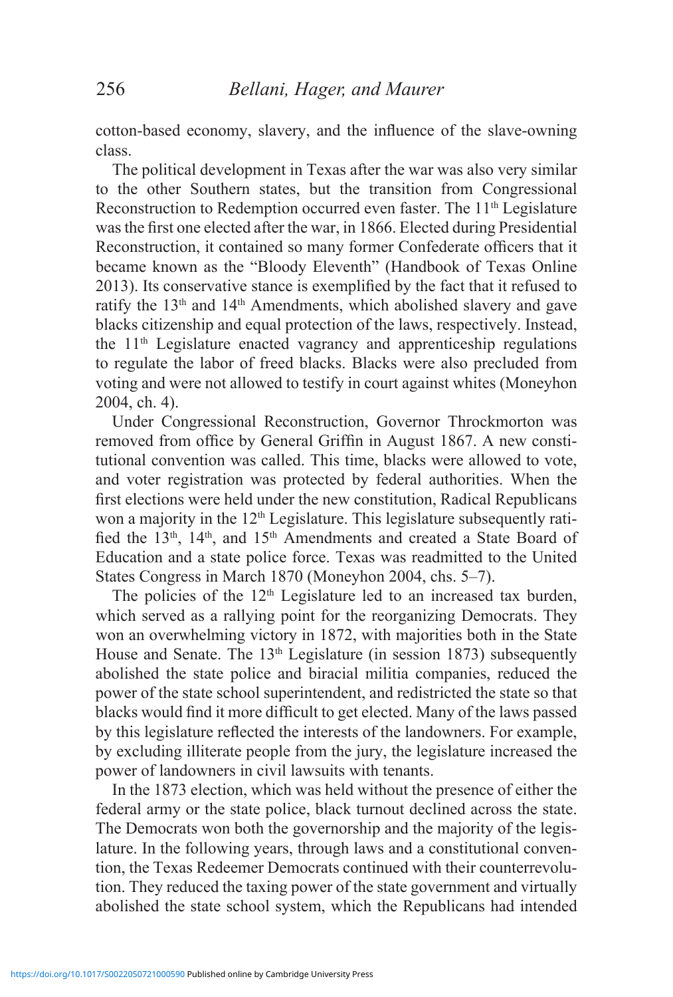cotton-based economy, slavery, and the influence of the slave-owning class.

The political development in Texas after the war was also very similar to the other Southern states, but the transition from Congressional Reconstruction to Redemption occurred even faster. The 11<sup>th</sup> Legislature was the first one elected after the war, in 1866. Elected during Presidential Reconstruction, it contained so many former Confederate officers that it became known as the "Bloody Eleventh" (Handbook of Texas Online 2013). Its conservative stance is exemplified by the fact that it refused to ratify the  $13<sup>th</sup>$  and  $14<sup>th</sup>$  Amendments, which abolished slavery and gave blacks citizenship and equal protection of the laws, respectively. Instead, the 11th Legislature enacted vagrancy and apprenticeship regulations to regulate the labor of freed blacks. Blacks were also precluded from voting and were not allowed to testify in court against whites (Moneyhon 2004, ch. 4).

Under Congressional Reconstruction, Governor Throckmorton was removed from office by General Griffin in August 1867. A new constitutional convention was called. This time, blacks were allowed to vote, and voter registration was protected by federal authorities. When the first elections were held under the new constitution, Radical Republicans won a majority in the  $12<sup>th</sup>$  Legislature. This legislature subsequently ratified the 13<sup>th</sup>, 14<sup>th</sup>, and 15<sup>th</sup> Amendments and created a State Board of Education and a state police force. Texas was readmitted to the United States Congress in March 1870 (Moneyhon 2004, chs. 5–7).

The policies of the  $12<sup>th</sup>$  Legislature led to an increased tax burden, which served as a rallying point for the reorganizing Democrats. They won an overwhelming victory in 1872, with majorities both in the State House and Senate. The 13th Legislature (in session 1873) subsequently abolished the state police and biracial militia companies, reduced the power of the state school superintendent, and redistricted the state so that blacks would find it more difficult to get elected. Many of the laws passed by this legislature reflected the interests of the landowners. For example, by excluding illiterate people from the jury, the legislature increased the power of landowners in civil lawsuits with tenants.

In the 1873 election, which was held without the presence of either the federal army or the state police, black turnout declined across the state. The Democrats won both the governorship and the majority of the legislature. In the following years, through laws and a constitutional convention, the Texas Redeemer Democrats continued with their counterrevolution. They reduced the taxing power of the state government and virtually abolished the state school system, which the Republicans had intended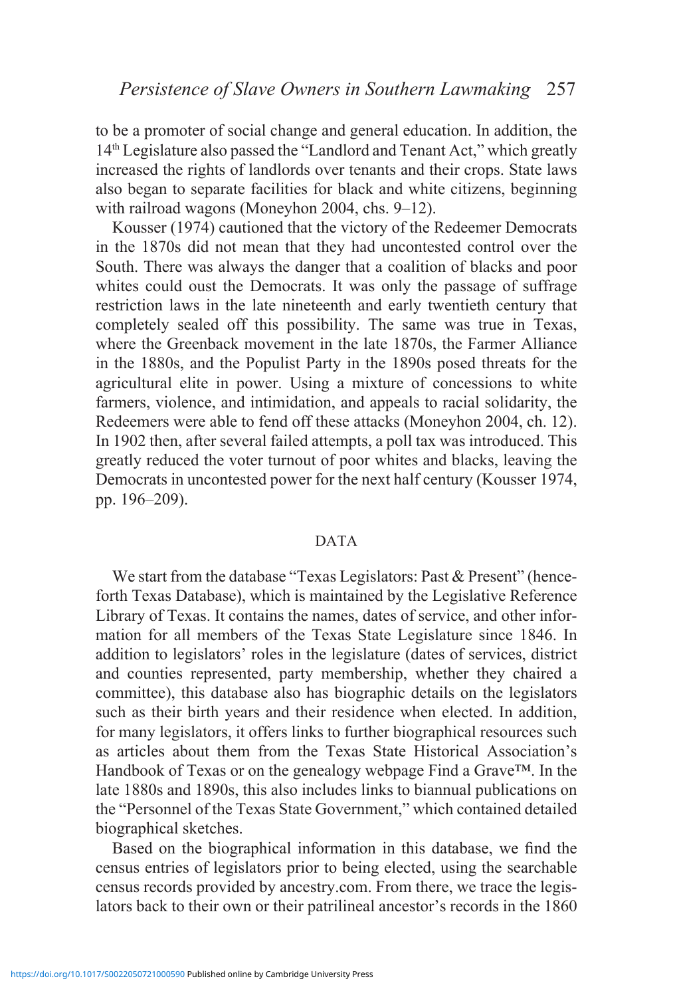to be a promoter of social change and general education. In addition, the 14th Legislature also passed the "Landlord and Tenant Act," which greatly increased the rights of landlords over tenants and their crops. State laws also began to separate facilities for black and white citizens, beginning with railroad wagons (Moneyhon 2004, chs. 9–12).

Kousser (1974) cautioned that the victory of the Redeemer Democrats in the 1870s did not mean that they had uncontested control over the South. There was always the danger that a coalition of blacks and poor whites could oust the Democrats. It was only the passage of suffrage restriction laws in the late nineteenth and early twentieth century that completely sealed off this possibility. The same was true in Texas, where the Greenback movement in the late 1870s, the Farmer Alliance in the 1880s, and the Populist Party in the 1890s posed threats for the agricultural elite in power. Using a mixture of concessions to white farmers, violence, and intimidation, and appeals to racial solidarity, the Redeemers were able to fend off these attacks (Moneyhon 2004, ch. 12). In 1902 then, after several failed attempts, a poll tax was introduced. This greatly reduced the voter turnout of poor whites and blacks, leaving the Democrats in uncontested power for the next half century (Kousser 1974, pp. 196–209).

## DATA

We start from the database "Texas Legislators: Past & Present" (henceforth Texas Database), which is maintained by the Legislative Reference Library of Texas. It contains the names, dates of service, and other information for all members of the Texas State Legislature since 1846. In addition to legislators' roles in the legislature (dates of services, district and counties represented, party membership, whether they chaired a committee), this database also has biographic details on the legislators such as their birth years and their residence when elected. In addition, for many legislators, it offers links to further biographical resources such as articles about them from the Texas State Historical Association's Handbook of Texas or on the genealogy webpage Find a Grave™. In the late 1880s and 1890s, this also includes links to biannual publications on the "Personnel of the Texas State Government," which contained detailed biographical sketches.

Based on the biographical information in this database, we find the census entries of legislators prior to being elected, using the searchable census records provided by ancestry.com. From there, we trace the legislators back to their own or their patrilineal ancestor's records in the 1860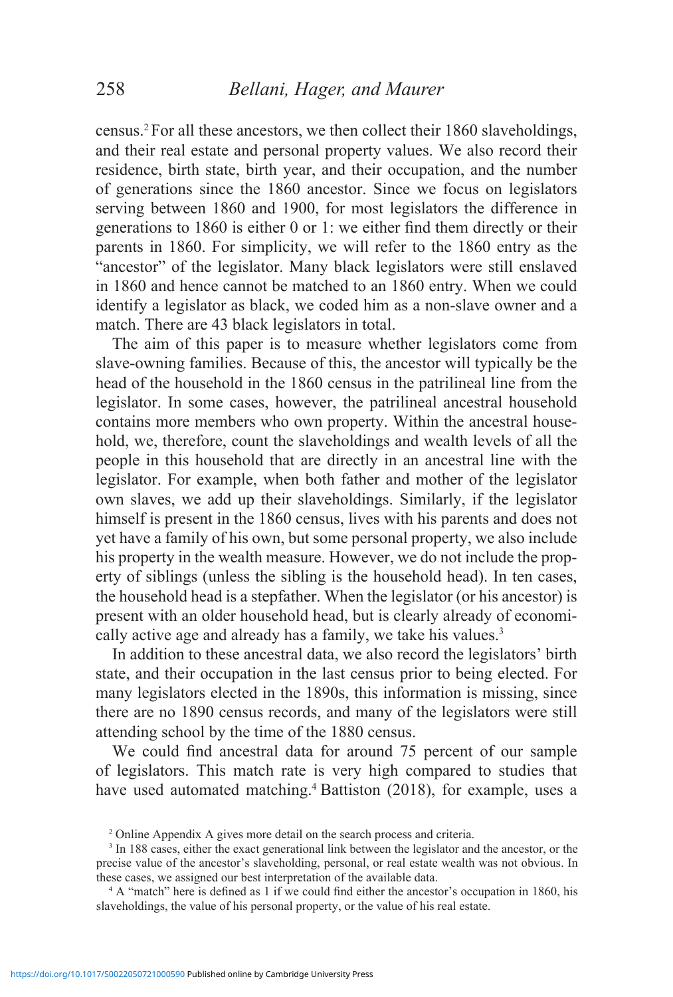census.2 For all these ancestors, we then collect their 1860 slaveholdings, and their real estate and personal property values. We also record their residence, birth state, birth year, and their occupation, and the number of generations since the 1860 ancestor. Since we focus on legislators serving between 1860 and 1900, for most legislators the difference in generations to 1860 is either 0 or 1: we either find them directly or their parents in 1860. For simplicity, we will refer to the 1860 entry as the "ancestor" of the legislator. Many black legislators were still enslaved in 1860 and hence cannot be matched to an 1860 entry. When we could identify a legislator as black, we coded him as a non-slave owner and a match. There are 43 black legislators in total.

The aim of this paper is to measure whether legislators come from slave-owning families. Because of this, the ancestor will typically be the head of the household in the 1860 census in the patrilineal line from the legislator. In some cases, however, the patrilineal ancestral household contains more members who own property. Within the ancestral household, we, therefore, count the slaveholdings and wealth levels of all the people in this household that are directly in an ancestral line with the legislator. For example, when both father and mother of the legislator own slaves, we add up their slaveholdings. Similarly, if the legislator himself is present in the 1860 census, lives with his parents and does not yet have a family of his own, but some personal property, we also include his property in the wealth measure. However, we do not include the property of siblings (unless the sibling is the household head). In ten cases, the household head is a stepfather. When the legislator (or his ancestor) is present with an older household head, but is clearly already of economically active age and already has a family, we take his values.<sup>3</sup>

In addition to these ancestral data, we also record the legislators' birth state, and their occupation in the last census prior to being elected. For many legislators elected in the 1890s, this information is missing, since there are no 1890 census records, and many of the legislators were still attending school by the time of the 1880 census.

We could find ancestral data for around 75 percent of our sample of legislators. This match rate is very high compared to studies that have used automated matching.<sup>4</sup> Battiston (2018), for example, uses a

<sup>2</sup> Online Appendix A gives more detail on the search process and criteria.

<sup>&</sup>lt;sup>3</sup> In 188 cases, either the exact generational link between the legislator and the ancestor, or the precise value of the ancestor's slaveholding, personal, or real estate wealth was not obvious. In these cases, we assigned our best interpretation of the available data.

<sup>4</sup> A "match" here is defined as 1 if we could find either the ancestor's occupation in 1860, his slaveholdings, the value of his personal property, or the value of his real estate.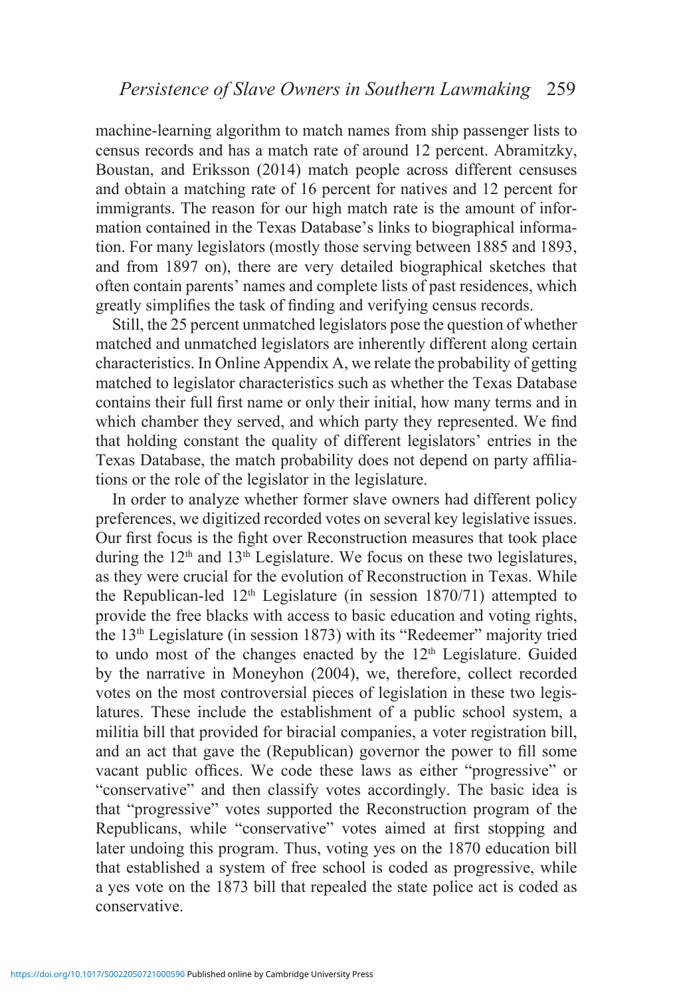machine-learning algorithm to match names from ship passenger lists to census records and has a match rate of around 12 percent. Abramitzky, Boustan, and Eriksson (2014) match people across different censuses and obtain a matching rate of 16 percent for natives and 12 percent for immigrants. The reason for our high match rate is the amount of information contained in the Texas Database's links to biographical information. For many legislators (mostly those serving between 1885 and 1893, and from 1897 on), there are very detailed biographical sketches that often contain parents' names and complete lists of past residences, which greatly simplifies the task of finding and verifying census records.

Still, the 25 percent unmatched legislators pose the question of whether matched and unmatched legislators are inherently different along certain characteristics. In Online Appendix A, we relate the probability of getting matched to legislator characteristics such as whether the Texas Database contains their full first name or only their initial, how many terms and in which chamber they served, and which party they represented. We find that holding constant the quality of different legislators' entries in the Texas Database, the match probability does not depend on party affiliations or the role of the legislator in the legislature.

In order to analyze whether former slave owners had different policy preferences, we digitized recorded votes on several key legislative issues. Our first focus is the fight over Reconstruction measures that took place during the  $12<sup>th</sup>$  and  $13<sup>th</sup>$  Legislature. We focus on these two legislatures, as they were crucial for the evolution of Reconstruction in Texas. While the Republican-led  $12<sup>th</sup>$  Legislature (in session 1870/71) attempted to provide the free blacks with access to basic education and voting rights, the 13th Legislature (in session 1873) with its "Redeemer" majority tried to undo most of the changes enacted by the  $12<sup>th</sup>$  Legislature. Guided by the narrative in Moneyhon (2004), we, therefore, collect recorded votes on the most controversial pieces of legislation in these two legislatures. These include the establishment of a public school system, a militia bill that provided for biracial companies, a voter registration bill, and an act that gave the (Republican) governor the power to fill some vacant public offices. We code these laws as either "progressive" or "conservative" and then classify votes accordingly. The basic idea is that "progressive" votes supported the Reconstruction program of the Republicans, while "conservative" votes aimed at first stopping and later undoing this program. Thus, voting yes on the 1870 education bill that established a system of free school is coded as progressive, while a yes vote on the 1873 bill that repealed the state police act is coded as conservative.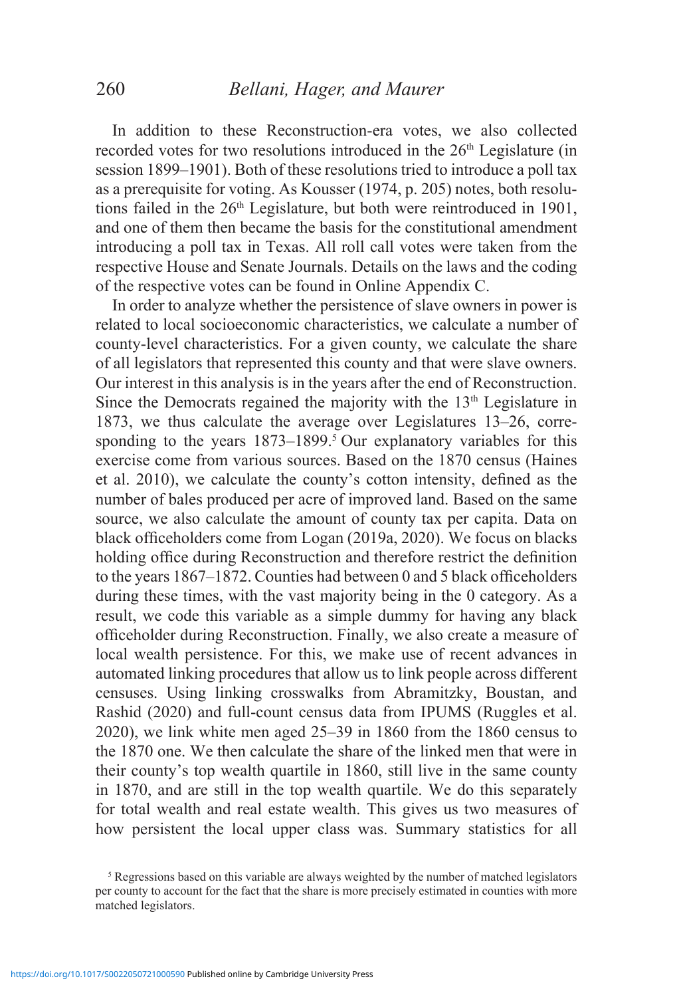In addition to these Reconstruction-era votes, we also collected recorded votes for two resolutions introduced in the  $26<sup>th</sup>$  Legislature (in session 1899–1901). Both of these resolutions tried to introduce a poll tax as a prerequisite for voting. As Kousser (1974, p. 205) notes, both resolutions failed in the  $26<sup>th</sup>$  Legislature, but both were reintroduced in 1901, and one of them then became the basis for the constitutional amendment introducing a poll tax in Texas. All roll call votes were taken from the respective House and Senate Journals. Details on the laws and the coding of the respective votes can be found in Online Appendix C.

In order to analyze whether the persistence of slave owners in power is related to local socioeconomic characteristics, we calculate a number of county-level characteristics. For a given county, we calculate the share of all legislators that represented this county and that were slave owners. Our interest in this analysis is in the years after the end of Reconstruction. Since the Democrats regained the majority with the  $13<sup>th</sup>$  Legislature in 1873, we thus calculate the average over Legislatures 13–26, corresponding to the years  $1873-1899$ .<sup>5</sup> Our explanatory variables for this exercise come from various sources. Based on the 1870 census (Haines et al. 2010), we calculate the county's cotton intensity, defined as the number of bales produced per acre of improved land. Based on the same source, we also calculate the amount of county tax per capita. Data on black officeholders come from Logan (2019a, 2020). We focus on blacks holding office during Reconstruction and therefore restrict the definition to the years 1867–1872. Counties had between 0 and 5 black officeholders during these times, with the vast majority being in the 0 category. As a result, we code this variable as a simple dummy for having any black officeholder during Reconstruction. Finally, we also create a measure of local wealth persistence. For this, we make use of recent advances in automated linking procedures that allow us to link people across different censuses. Using linking crosswalks from Abramitzky, Boustan, and Rashid (2020) and full-count census data from IPUMS (Ruggles et al. 2020), we link white men aged 25–39 in 1860 from the 1860 census to the 1870 one. We then calculate the share of the linked men that were in their county's top wealth quartile in 1860, still live in the same county in 1870, and are still in the top wealth quartile. We do this separately for total wealth and real estate wealth. This gives us two measures of how persistent the local upper class was. Summary statistics for all

<sup>&</sup>lt;sup>5</sup> Regressions based on this variable are always weighted by the number of matched legislators per county to account for the fact that the share is more precisely estimated in counties with more matched legislators.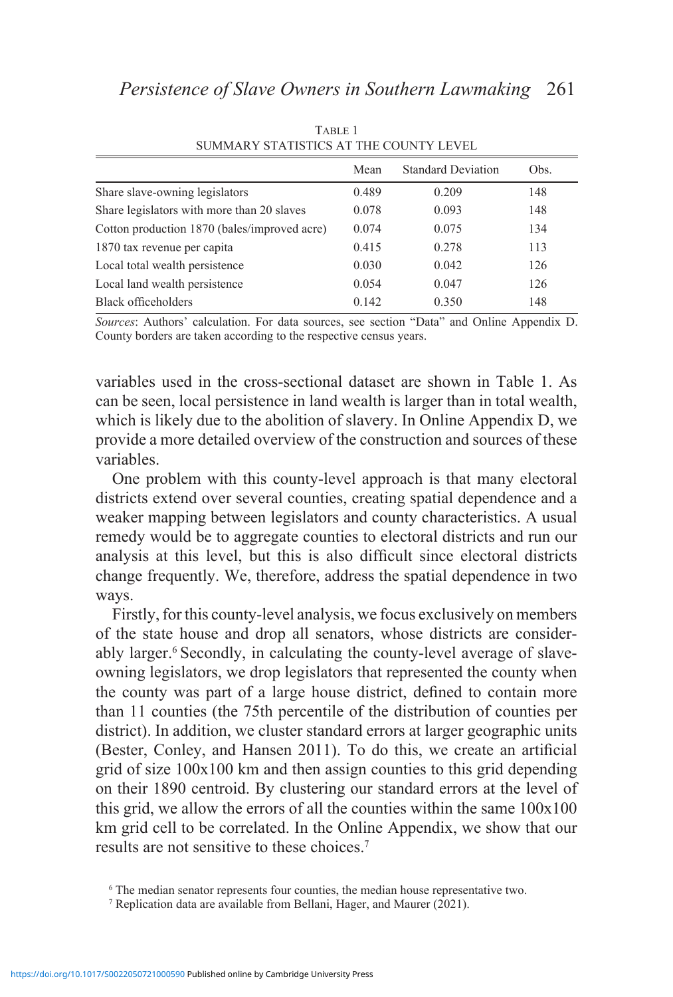|                                              | Mean  | <b>Standard Deviation</b> | Obs. |
|----------------------------------------------|-------|---------------------------|------|
| Share slave-owning legislators               | 0.489 | 0.209                     | 148  |
| Share legislators with more than 20 slaves   | 0.078 | 0.093                     | 148  |
| Cotton production 1870 (bales/improved acre) | 0.074 | 0.075                     | 134  |
| 1870 tax revenue per capita                  | 0.415 | 0.278                     | 113  |
| Local total wealth persistence               | 0.030 | 0.042                     | 126  |
| Local land wealth persistence                | 0.054 | 0.047                     | 126  |
| Black officeholders                          | 0.142 | 0.350                     | 148  |

TABLE 1 SUMMARY STATISTICS AT THE COUNTY LEVEL

*Sources*: Authors' calculation. For data sources, see section "Data" and Online Appendix D. County borders are taken according to the respective census years.

variables used in the cross-sectional dataset are shown in Table 1. As can be seen, local persistence in land wealth is larger than in total wealth, which is likely due to the abolition of slavery. In Online Appendix D, we provide a more detailed overview of the construction and sources of these variables.

One problem with this county-level approach is that many electoral districts extend over several counties, creating spatial dependence and a weaker mapping between legislators and county characteristics. A usual remedy would be to aggregate counties to electoral districts and run our analysis at this level, but this is also difficult since electoral districts change frequently. We, therefore, address the spatial dependence in two ways.

Firstly, for this county-level analysis, we focus exclusively on members of the state house and drop all senators, whose districts are considerably larger.<sup>6</sup> Secondly, in calculating the county-level average of slaveowning legislators, we drop legislators that represented the county when the county was part of a large house district, defined to contain more than 11 counties (the 75th percentile of the distribution of counties per district). In addition, we cluster standard errors at larger geographic units (Bester, Conley, and Hansen 2011). To do this, we create an artificial grid of size 100x100 km and then assign counties to this grid depending on their 1890 centroid. By clustering our standard errors at the level of this grid, we allow the errors of all the counties within the same 100x100 km grid cell to be correlated. In the Online Appendix, we show that our results are not sensitive to these choices.7

<sup>&</sup>lt;sup>6</sup> The median senator represents four counties, the median house representative two.

<sup>7</sup> Replication data are available from Bellani, Hager, and Maurer (2021).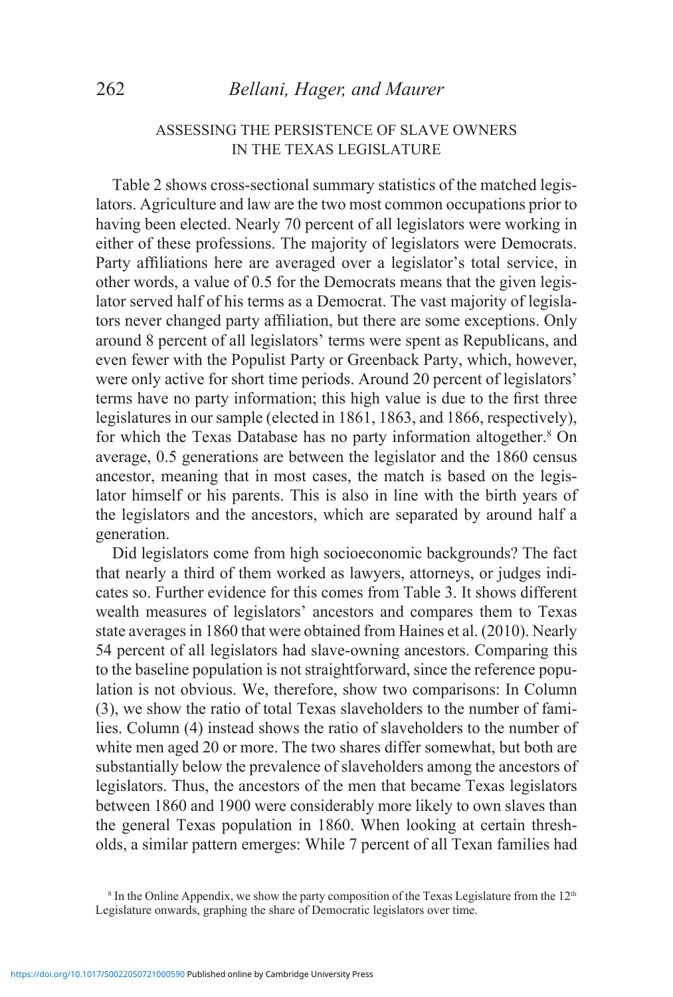## ASSESSING THE PERSISTENCE OF SLAVE OWNERS IN THE TEXAS LEGISLATURE

Table 2 shows cross-sectional summary statistics of the matched legislators. Agriculture and law are the two most common occupations prior to having been elected. Nearly 70 percent of all legislators were working in either of these professions. The majority of legislators were Democrats. Party affiliations here are averaged over a legislator's total service, in other words, a value of 0.5 for the Democrats means that the given legislator served half of his terms as a Democrat. The vast majority of legislators never changed party affiliation, but there are some exceptions. Only around 8 percent of all legislators' terms were spent as Republicans, and even fewer with the Populist Party or Greenback Party, which, however, were only active for short time periods. Around 20 percent of legislators' terms have no party information; this high value is due to the first three legislatures in our sample (elected in 1861, 1863, and 1866, respectively), for which the Texas Database has no party information altogether.<sup>8</sup> On average, 0.5 generations are between the legislator and the 1860 census ancestor, meaning that in most cases, the match is based on the legislator himself or his parents. This is also in line with the birth years of the legislators and the ancestors, which are separated by around half a generation.

Did legislators come from high socioeconomic backgrounds? The fact that nearly a third of them worked as lawyers, attorneys, or judges indicates so. Further evidence for this comes from Table 3. It shows different wealth measures of legislators' ancestors and compares them to Texas state averages in 1860 that were obtained from Haines et al. (2010). Nearly 54 percent of all legislators had slave-owning ancestors. Comparing this to the baseline population is not straightforward, since the reference population is not obvious. We, therefore, show two comparisons: In Column (3), we show the ratio of total Texas slaveholders to the number of families. Column (4) instead shows the ratio of slaveholders to the number of white men aged 20 or more. The two shares differ somewhat, but both are substantially below the prevalence of slaveholders among the ancestors of legislators. Thus, the ancestors of the men that became Texas legislators between 1860 and 1900 were considerably more likely to own slaves than the general Texas population in 1860. When looking at certain thresholds, a similar pattern emerges: While 7 percent of all Texan families had

<sup>&</sup>lt;sup>8</sup> In the Online Appendix, we show the party composition of the Texas Legislature from the  $12<sup>th</sup>$ Legislature onwards, graphing the share of Democratic legislators over time.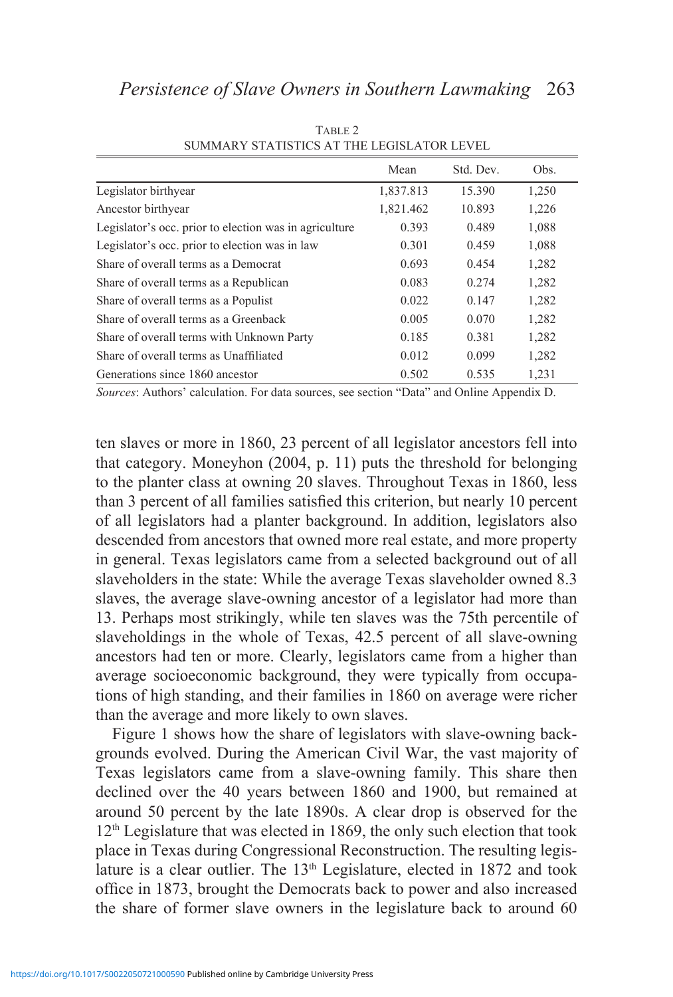|                                                        | Mean      | Std. Dev. | Obs.  |
|--------------------------------------------------------|-----------|-----------|-------|
| Legislator birthyear                                   | 1,837.813 | 15.390    | 1,250 |
| Ancestor birthyear                                     | 1,821.462 | 10.893    | 1,226 |
| Legislator's occ. prior to election was in agriculture | 0.393     | 0.489     | 1,088 |
| Legislator's occ. prior to election was in law         | 0.301     | 0.459     | 1,088 |
| Share of overall terms as a Democrat                   | 0.693     | 0.454     | 1,282 |
| Share of overall terms as a Republican                 | 0.083     | 0.274     | 1,282 |
| Share of overall terms as a Populist                   | 0.022     | 0.147     | 1,282 |
| Share of overall terms as a Greenback                  | 0.005     | 0.070     | 1,282 |
| Share of overall terms with Unknown Party              | 0.185     | 0.381     | 1,282 |
| Share of overall terms as Unaffiliated                 | 0.012     | 0.099     | 1,282 |
| Generations since 1860 ancestor                        | 0.502     | 0.535     | 1,231 |

TABLE 2 SUMMARY STATISTICS AT THE LEGISLATOR LEVEL

*Sources*: Authors' calculation. For data sources, see section "Data" and Online Appendix D.

ten slaves or more in 1860, 23 percent of all legislator ancestors fell into that category. Moneyhon (2004, p. 11) puts the threshold for belonging to the planter class at owning 20 slaves. Throughout Texas in 1860, less than 3 percent of all families satisfied this criterion, but nearly 10 percent of all legislators had a planter background. In addition, legislators also descended from ancestors that owned more real estate, and more property in general. Texas legislators came from a selected background out of all slaveholders in the state: While the average Texas slaveholder owned 8.3 slaves, the average slave-owning ancestor of a legislator had more than 13. Perhaps most strikingly, while ten slaves was the 75th percentile of slaveholdings in the whole of Texas, 42.5 percent of all slave-owning ancestors had ten or more. Clearly, legislators came from a higher than average socioeconomic background, they were typically from occupations of high standing, and their families in 1860 on average were richer than the average and more likely to own slaves.

Figure 1 shows how the share of legislators with slave-owning backgrounds evolved. During the American Civil War, the vast majority of Texas legislators came from a slave-owning family. This share then declined over the 40 years between 1860 and 1900, but remained at around 50 percent by the late 1890s. A clear drop is observed for the  $12<sup>th</sup>$  Legislature that was elected in 1869, the only such election that took place in Texas during Congressional Reconstruction. The resulting legislature is a clear outlier. The 13<sup>th</sup> Legislature, elected in 1872 and took office in 1873, brought the Democrats back to power and also increased the share of former slave owners in the legislature back to around 60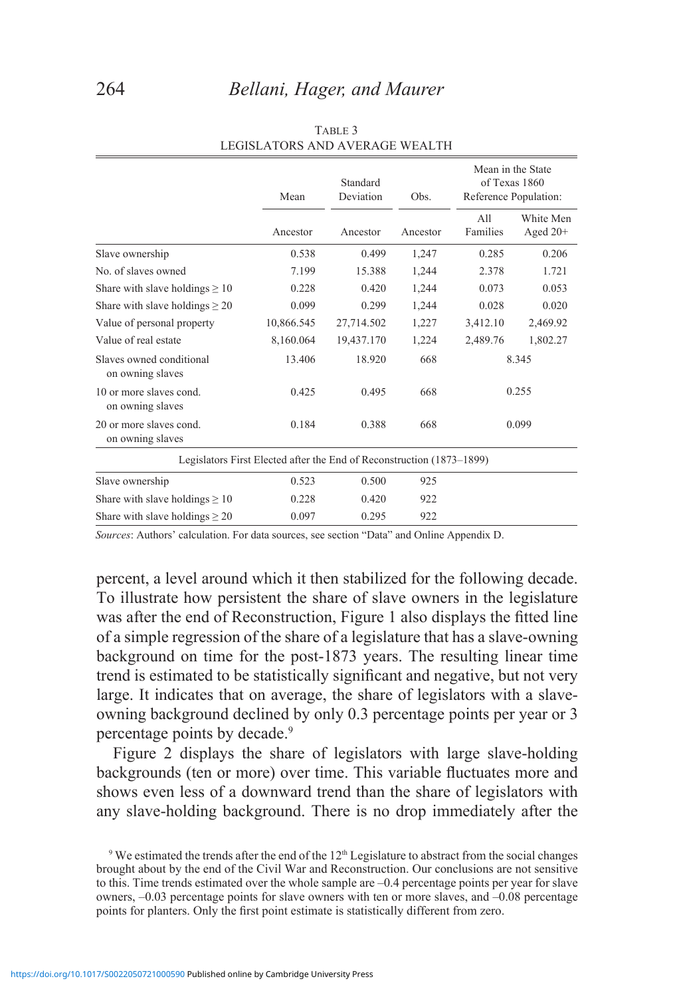|                                                                       | Mean       | Standard<br>Deviation | Obs.     | Mean in the State<br>of Texas 1860<br>Reference Population: |                         |
|-----------------------------------------------------------------------|------------|-----------------------|----------|-------------------------------------------------------------|-------------------------|
|                                                                       | Ancestor   | Ancestor              | Ancestor | A11<br>Families                                             | White Men<br>Aged $20+$ |
| Slave ownership                                                       | 0.538      | 0.499                 | 1,247    | 0.285                                                       | 0.206                   |
| No. of slaves owned                                                   | 7.199      | 15.388                | 1,244    | 2.378                                                       | 1.721                   |
| Share with slave holdings $\geq 10$                                   | 0.228      | 0.420                 | 1,244    | 0.073                                                       | 0.053                   |
| Share with slave holdings $\geq 20$                                   | 0.099      | 0.299                 | 1,244    | 0.028                                                       | 0.020                   |
| Value of personal property                                            | 10,866.545 | 27,714.502            | 1,227    | 3,412.10                                                    | 2,469.92                |
| Value of real estate                                                  | 8,160.064  | 19,437.170            | 1,224    | 2,489.76                                                    | 1,802.27                |
| Slaves owned conditional<br>on owning slaves                          | 13.406     | 18.920                | 668      |                                                             | 8.345                   |
| 10 or more slaves cond.<br>on owning slaves                           | 0.425      | 0.495                 | 668      |                                                             | 0.255                   |
| 20 or more slaves cond.<br>on owning slaves                           | 0.184      | 0.388                 | 668      |                                                             | 0.099                   |
| Legislators First Elected after the End of Reconstruction (1873–1899) |            |                       |          |                                                             |                         |
| Slave ownership                                                       | 0.523      | 0.500                 | 925      |                                                             |                         |
| Share with slave holdings $\geq 10$                                   | 0.228      | 0.420                 | 922      |                                                             |                         |
| Share with slave holdings $\geq 20$                                   | 0.097      | 0.295                 | 922      |                                                             |                         |

TABLE 3 LEGISLATORS AND AVERAGE WEALTH

*Sources*: Authors' calculation. For data sources, see section "Data" and Online Appendix D.

percent, a level around which it then stabilized for the following decade. To illustrate how persistent the share of slave owners in the legislature was after the end of Reconstruction, Figure 1 also displays the fitted line of a simple regression of the share of a legislature that has a slave-owning background on time for the post-1873 years. The resulting linear time trend is estimated to be statistically significant and negative, but not very large. It indicates that on average, the share of legislators with a slaveowning background declined by only 0.3 percentage points per year or 3 percentage points by decade.9

Figure 2 displays the share of legislators with large slave-holding backgrounds (ten or more) over time. This variable fluctuates more and shows even less of a downward trend than the share of legislators with any slave-holding background. There is no drop immediately after the

<sup>&</sup>lt;sup>9</sup> We estimated the trends after the end of the  $12<sup>th</sup>$  Legislature to abstract from the social changes brought about by the end of the Civil War and Reconstruction. Our conclusions are not sensitive to this. Time trends estimated over the whole sample are –0.4 percentage points per year for slave owners, –0.03 percentage points for slave owners with ten or more slaves, and –0.08 percentage points for planters. Only the first point estimate is statistically different from zero.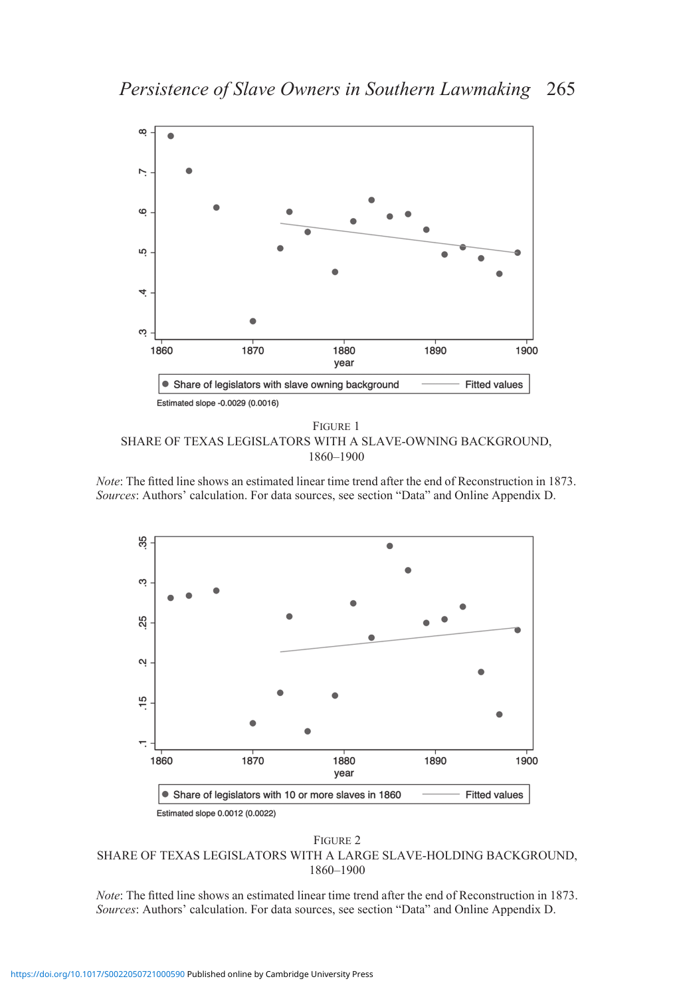

Figure 1 SHARE OF TEXAS LEGISLATORS WITH A SLAVE-OWNING BACKGROUND, 1860–1900

*Note*: The fitted line shows an estimated linear time trend after the end of Reconstruction in 1873. *Sources*: Authors' calculation. For data sources, see section "Data" and Online Appendix D.



#### Figure 2 SHARE OF TEXAS LEGISLATORS WITH A LARGE SLAVE-HOLDING BACKGROUND, 1860–1900

*Note*: The fitted line shows an estimated linear time trend after the end of Reconstruction in 1873. *Sources*: Authors' calculation. For data sources, see section "Data" and Online Appendix D.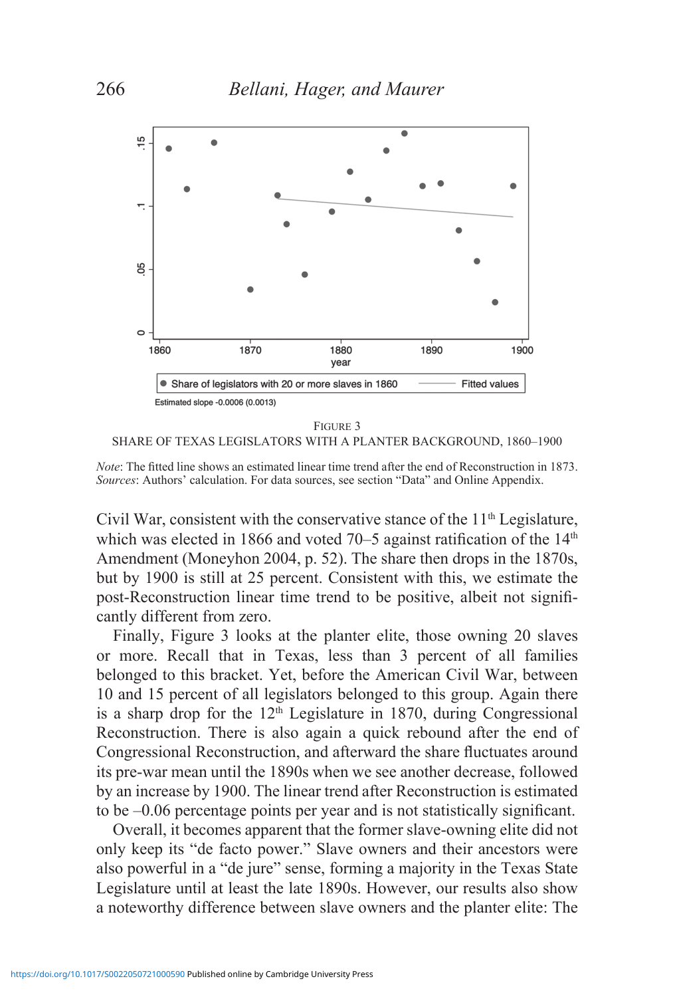

Figure 3 SHARE OF TEXAS LEGISLATORS WITH A PLANTER BACKGROUND, 1860–1900

*Note*: The fitted line shows an estimated linear time trend after the end of Reconstruction in 1873. *Sources*: Authors' calculation. For data sources, see section "Data" and Online Appendix.

Civil War, consistent with the conservative stance of the  $11<sup>th</sup>$  Legislature, which was elected in 1866 and voted 70–5 against ratification of the  $14<sup>th</sup>$ Amendment (Moneyhon 2004, p. 52). The share then drops in the 1870s, but by 1900 is still at 25 percent. Consistent with this, we estimate the post-Reconstruction linear time trend to be positive, albeit not significantly different from zero.

Finally, Figure 3 looks at the planter elite, those owning 20 slaves or more. Recall that in Texas, less than 3 percent of all families belonged to this bracket. Yet, before the American Civil War, between 10 and 15 percent of all legislators belonged to this group. Again there is a sharp drop for the  $12<sup>th</sup>$  Legislature in 1870, during Congressional Reconstruction. There is also again a quick rebound after the end of Congressional Reconstruction, and afterward the share fluctuates around its pre-war mean until the 1890s when we see another decrease, followed by an increase by 1900. The linear trend after Reconstruction is estimated to be –0.06 percentage points per year and is not statistically significant.

Overall, it becomes apparent that the former slave-owning elite did not only keep its "de facto power." Slave owners and their ancestors were also powerful in a "de jure" sense, forming a majority in the Texas State Legislature until at least the late 1890s. However, our results also show a noteworthy difference between slave owners and the planter elite: The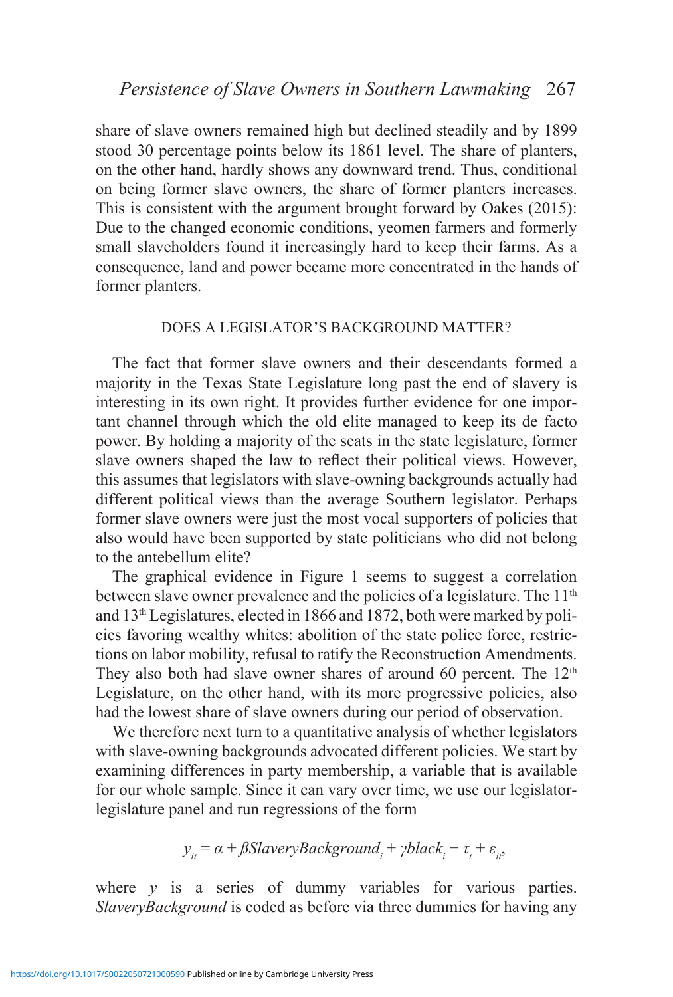share of slave owners remained high but declined steadily and by 1899 stood 30 percentage points below its 1861 level. The share of planters, on the other hand, hardly shows any downward trend. Thus, conditional on being former slave owners, the share of former planters increases. This is consistent with the argument brought forward by Oakes (2015): Due to the changed economic conditions, yeomen farmers and formerly small slaveholders found it increasingly hard to keep their farms. As a consequence, land and power became more concentrated in the hands of former planters.

## DOES A LEGISLATOR'S BACKGROUND MATTER?

The fact that former slave owners and their descendants formed a majority in the Texas State Legislature long past the end of slavery is interesting in its own right. It provides further evidence for one important channel through which the old elite managed to keep its de facto power. By holding a majority of the seats in the state legislature, former slave owners shaped the law to reflect their political views. However, this assumes that legislators with slave-owning backgrounds actually had different political views than the average Southern legislator. Perhaps former slave owners were just the most vocal supporters of policies that also would have been supported by state politicians who did not belong to the antebellum elite?

The graphical evidence in Figure 1 seems to suggest a correlation between slave owner prevalence and the policies of a legislature. The 11<sup>th</sup> and 13th Legislatures, elected in 1866 and 1872, both were marked by policies favoring wealthy whites: abolition of the state police force, restrictions on labor mobility, refusal to ratify the Reconstruction Amendments. They also both had slave owner shares of around 60 percent. The  $12<sup>th</sup>$ Legislature, on the other hand, with its more progressive policies, also had the lowest share of slave owners during our period of observation.

We therefore next turn to a quantitative analysis of whether legislators with slave-owning backgrounds advocated different policies. We start by examining differences in party membership, a variable that is available for our whole sample. Since it can vary over time, we use our legislatorlegislature panel and run regressions of the form

$$
y_{it} = \alpha + \beta SlaveryBackground_i + \gamma black_i + \tau_t + \varepsilon_{it}
$$

where  $y$  is a series of dummy variables for various parties. *SlaveryBackground* is coded as before via three dummies for having any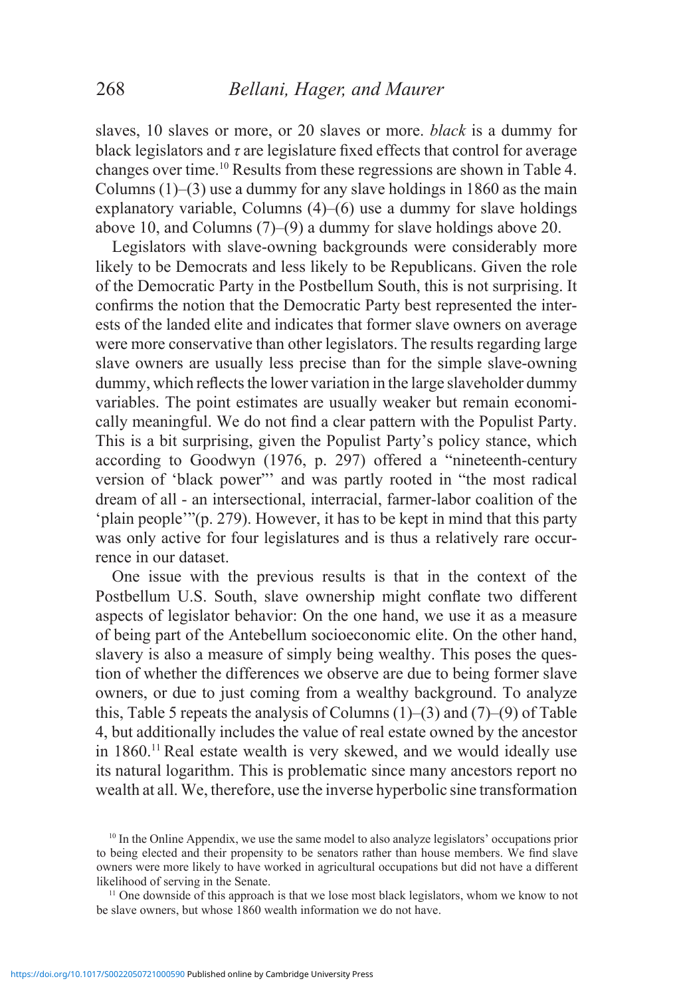slaves, 10 slaves or more, or 20 slaves or more. *black* is a dummy for black legislators and *τ* are legislature fixed effects that control for average changes over time.10 Results from these regressions are shown in Table 4. Columns  $(1)$ – $(3)$  use a dummy for any slave holdings in 1860 as the main explanatory variable, Columns (4)–(6) use a dummy for slave holdings above 10, and Columns (7)–(9) a dummy for slave holdings above 20.

Legislators with slave-owning backgrounds were considerably more likely to be Democrats and less likely to be Republicans. Given the role of the Democratic Party in the Postbellum South, this is not surprising. It confirms the notion that the Democratic Party best represented the interests of the landed elite and indicates that former slave owners on average were more conservative than other legislators. The results regarding large slave owners are usually less precise than for the simple slave-owning dummy, which reflects the lower variation in the large slaveholder dummy variables. The point estimates are usually weaker but remain economically meaningful. We do not find a clear pattern with the Populist Party. This is a bit surprising, given the Populist Party's policy stance, which according to Goodwyn (1976, p. 297) offered a "nineteenth-century version of 'black power"' and was partly rooted in "the most radical dream of all - an intersectional, interracial, farmer-labor coalition of the 'plain people'"(p. 279). However, it has to be kept in mind that this party was only active for four legislatures and is thus a relatively rare occurrence in our dataset.

One issue with the previous results is that in the context of the Postbellum U.S. South, slave ownership might conflate two different aspects of legislator behavior: On the one hand, we use it as a measure of being part of the Antebellum socioeconomic elite. On the other hand, slavery is also a measure of simply being wealthy. This poses the question of whether the differences we observe are due to being former slave owners, or due to just coming from a wealthy background. To analyze this, Table 5 repeats the analysis of Columns  $(1)$ – $(3)$  and  $(7)$ – $(9)$  of Table 4, but additionally includes the value of real estate owned by the ancestor in 1860.11 Real estate wealth is very skewed, and we would ideally use its natural logarithm. This is problematic since many ancestors report no wealth at all. We, therefore, use the inverse hyperbolic sine transformation

<sup>10</sup> In the Online Appendix, we use the same model to also analyze legislators' occupations prior to being elected and their propensity to be senators rather than house members. We find slave owners were more likely to have worked in agricultural occupations but did not have a different likelihood of serving in the Senate.

<sup>&</sup>lt;sup>11</sup> One downside of this approach is that we lose most black legislators, whom we know to not be slave owners, but whose 1860 wealth information we do not have.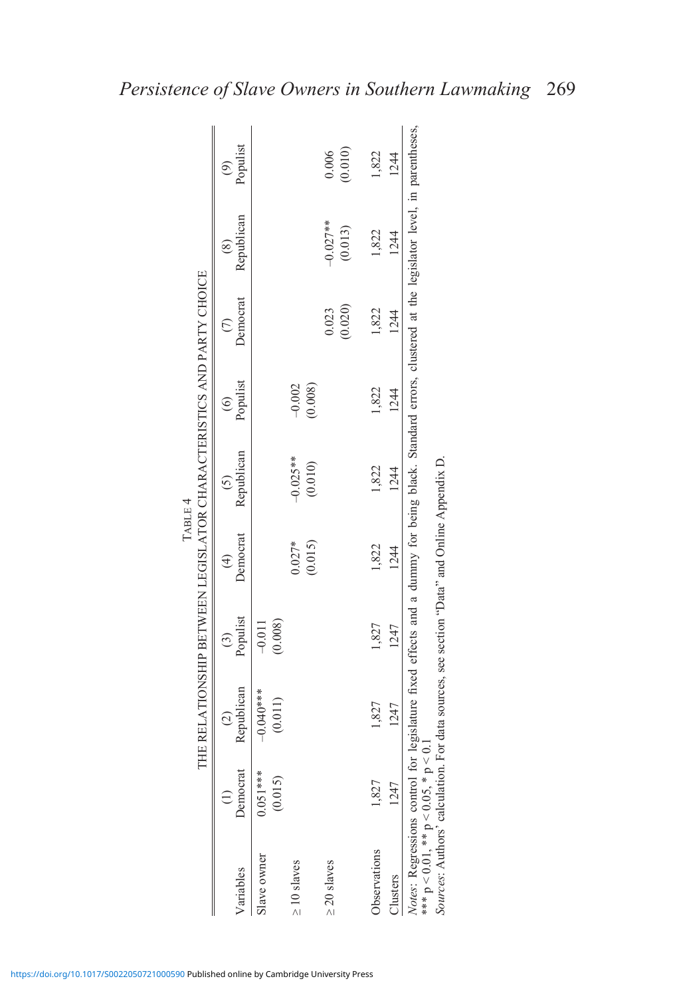|                                             |                       |                                                                                            |                     |                             | TABLE 4                      |                               | THE RELATIONSHIP BETWEEN LEGISLATOR CHARACTERISTICS AND PARTY CHOICE                                                                                      |                       |                     |
|---------------------------------------------|-----------------------|--------------------------------------------------------------------------------------------|---------------------|-----------------------------|------------------------------|-------------------------------|-----------------------------------------------------------------------------------------------------------------------------------------------------------|-----------------------|---------------------|
| Variables                                   | Democrat              | Republican<br>$\odot$                                                                      | Populist            | Democrat<br>$\widehat{\pm}$ | Republican<br>$\overline{c}$ | Populist<br>$\widehat{\circ}$ | Democrat                                                                                                                                                  | Republican            | Populist<br>$\odot$ |
| Slave owner                                 | $0.051***$<br>(0.015) | $-0.040**$<br>(0.011)                                                                      | (0.008)<br>$-0.011$ |                             |                              |                               |                                                                                                                                                           |                       |                     |
| $\geq 10$ slaves                            |                       |                                                                                            |                     | (0.015)<br>$0.027*$         | $-0.025**$<br>(0.010)        | $-0.002$<br>(0.008)           |                                                                                                                                                           |                       |                     |
| $\geq$ 20 slaves                            |                       |                                                                                            |                     |                             |                              |                               | (0.020)<br>0.023                                                                                                                                          | $-0.027**$<br>(0.013) | (0.010)<br>0.006    |
| Observations                                | 1,827                 | 1,827                                                                                      | 1,827               | 1,822                       | 1,822                        | 1,822                         | 1,822                                                                                                                                                     | 1,822                 | 1,822               |
| <b>Jlusters</b>                             | 1247                  | 1247                                                                                       | 1247                | 1244                        | 1244                         | 1244                          | 1244                                                                                                                                                      | 1244                  | 1244                |
| *** $p < 0.05$ , * $p < 0.05$ , * $p < 0$ . |                       | Sources: Authors' calculation. For data sources, see section "Data" and Online Appendix D. |                     |                             |                              |                               | Notes: Regressions control for legislature fixed effects and a dummy for being black. Standard errors, clustered at the legislator level, in parentheses, |                       |                     |

| https://doi.org/10.1017/S0022050721000590 Published online by Cambridge University Press |
|------------------------------------------------------------------------------------------|
|------------------------------------------------------------------------------------------|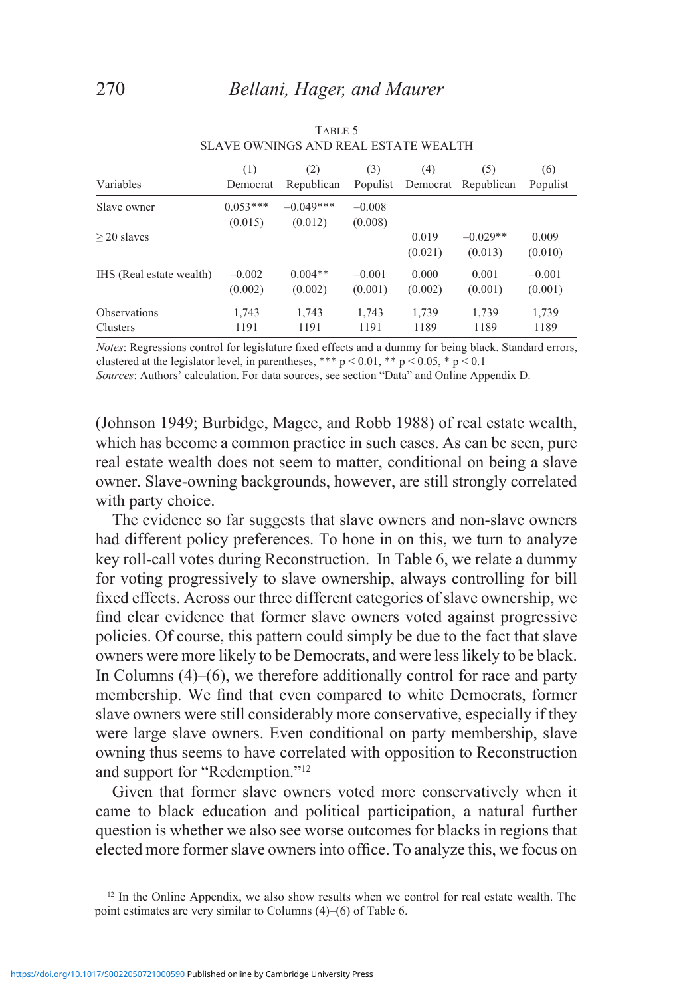| Variables                | (1)                   | (2)                    | (3)                 | (4)              | (5)                   | (6)              |
|--------------------------|-----------------------|------------------------|---------------------|------------------|-----------------------|------------------|
|                          | Democrat              | Republican             | Populist            | Democrat         | Republican            | Populist         |
| Slave owner              | $0.053***$<br>(0.015) | $-0.049***$<br>(0.012) | $-0.008$<br>(0.008) |                  |                       |                  |
| $>$ 20 slaves            |                       |                        |                     | 0.019<br>(0.021) | $-0.029**$<br>(0.013) | 0.009<br>(0.010) |
| IHS (Real estate wealth) | $-0.002$              | $0.004**$              | $-0.001$            | 0.000            | 0.001                 | $-0.001$         |
|                          | (0.002)               | (0.002)                | (0.001)             | (0.002)          | (0.001)               | (0.001)          |
| <b>Observations</b>      | 1,743                 | 1,743                  | 1,743               | 1,739            | 1,739                 | 1,739            |
| Clusters                 | 1191                  | 1191                   | 1191                | 1189             | 1189                  | 1189             |

TABLE 5 SLAVE OWNINGS AND REAL ESTATE WEALTH

*Notes*: Regressions control for legislature fixed effects and a dummy for being black. Standard errors, clustered at the legislator level, in parentheses, \*\*\*  $p < 0.01$ , \*\*  $p < 0.05$ , \*  $p < 0.1$ 

*Sources*: Authors' calculation. For data sources, see section "Data" and Online Appendix D.

(Johnson 1949; Burbidge, Magee, and Robb 1988) of real estate wealth, which has become a common practice in such cases. As can be seen, pure real estate wealth does not seem to matter, conditional on being a slave owner. Slave-owning backgrounds, however, are still strongly correlated with party choice.

The evidence so far suggests that slave owners and non-slave owners had different policy preferences. To hone in on this, we turn to analyze key roll-call votes during Reconstruction. In Table 6, we relate a dummy for voting progressively to slave ownership, always controlling for bill fixed effects. Across our three different categories of slave ownership, we find clear evidence that former slave owners voted against progressive policies. Of course, this pattern could simply be due to the fact that slave owners were more likely to be Democrats, and were less likely to be black. In Columns  $(4)$ – $(6)$ , we therefore additionally control for race and party membership. We find that even compared to white Democrats, former slave owners were still considerably more conservative, especially if they were large slave owners. Even conditional on party membership, slave owning thus seems to have correlated with opposition to Reconstruction and support for "Redemption."12

Given that former slave owners voted more conservatively when it came to black education and political participation, a natural further question is whether we also see worse outcomes for blacks in regions that elected more former slave owners into office. To analyze this, we focus on

 $12$  In the Online Appendix, we also show results when we control for real estate wealth. The point estimates are very similar to Columns (4)–(6) of Table 6.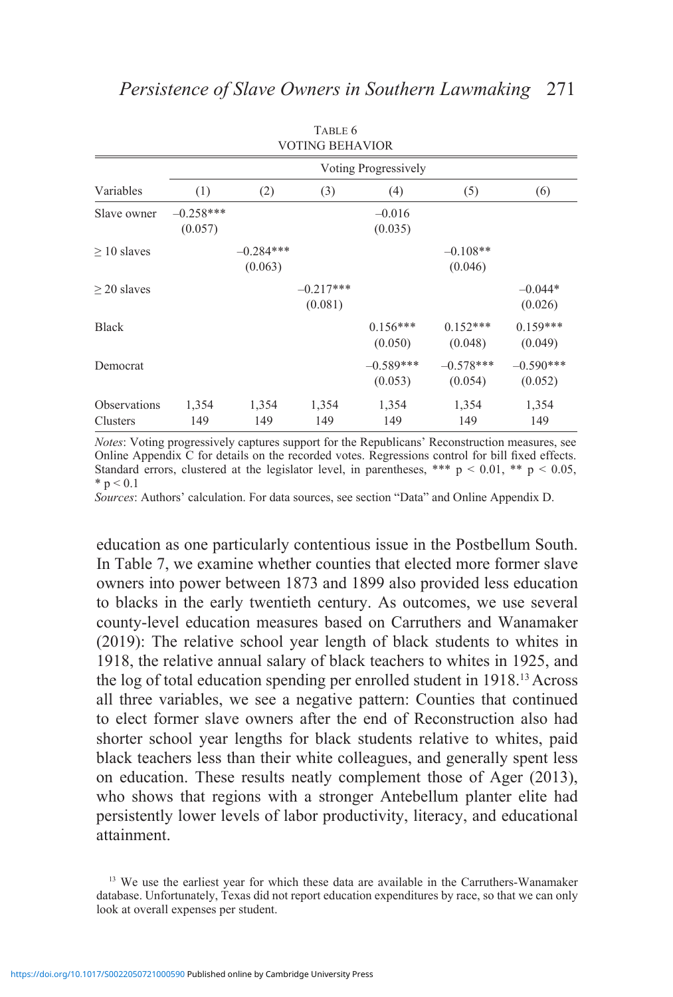TABLE 6

|                          |                        |                        | <b>VOTING BEHAVIOR</b> |                        |                        |                        |  |  |
|--------------------------|------------------------|------------------------|------------------------|------------------------|------------------------|------------------------|--|--|
|                          | Voting Progressively   |                        |                        |                        |                        |                        |  |  |
| Variables                | (1)                    | (2)                    | (3)                    | (4)                    | (5)                    | (6)                    |  |  |
| Slave owner              | $-0.258***$<br>(0.057) |                        |                        | $-0.016$<br>(0.035)    |                        |                        |  |  |
| $\geq 10$ slaves         |                        | $-0.284***$<br>(0.063) |                        |                        | $-0.108**$<br>(0.046)  |                        |  |  |
| $>$ 20 slaves            |                        |                        | $-0.217***$<br>(0.081) |                        |                        | $-0.044*$<br>(0.026)   |  |  |
| <b>Black</b>             |                        |                        |                        | $0.156***$<br>(0.050)  | $0.152***$<br>(0.048)  | $0.159***$<br>(0.049)  |  |  |
| Democrat                 |                        |                        |                        | $-0.589***$<br>(0.053) | $-0.578***$<br>(0.054) | $-0.590***$<br>(0.052) |  |  |
| Observations<br>Clusters | 1,354<br>149           | 1,354<br>149           | 1,354<br>149           | 1,354<br>149           | 1,354<br>149           | 1,354<br>149           |  |  |

*Notes*: Voting progressively captures support for the Republicans' Reconstruction measures, see Online Appendix C for details on the recorded votes. Regressions control for bill fixed effects. Standard errors, clustered at the legislator level, in parentheses, \*\*\*  $p < 0.01$ , \*\*  $p < 0.05$ ,  $*$  p  $< 0.1$ 

*Sources*: Authors' calculation. For data sources, see section "Data" and Online Appendix D.

education as one particularly contentious issue in the Postbellum South. In Table 7, we examine whether counties that elected more former slave owners into power between 1873 and 1899 also provided less education to blacks in the early twentieth century. As outcomes, we use several county-level education measures based on Carruthers and Wanamaker (2019): The relative school year length of black students to whites in 1918, the relative annual salary of black teachers to whites in 1925, and the log of total education spending per enrolled student in 1918.13 Across all three variables, we see a negative pattern: Counties that continued to elect former slave owners after the end of Reconstruction also had shorter school year lengths for black students relative to whites, paid black teachers less than their white colleagues, and generally spent less on education. These results neatly complement those of Ager (2013), who shows that regions with a stronger Antebellum planter elite had persistently lower levels of labor productivity, literacy, and educational attainment.

<sup>&</sup>lt;sup>13</sup> We use the earliest year for which these data are available in the Carruthers-Wanamaker database. Unfortunately, Texas did not report education expenditures by race, so that we can only look at overall expenses per student.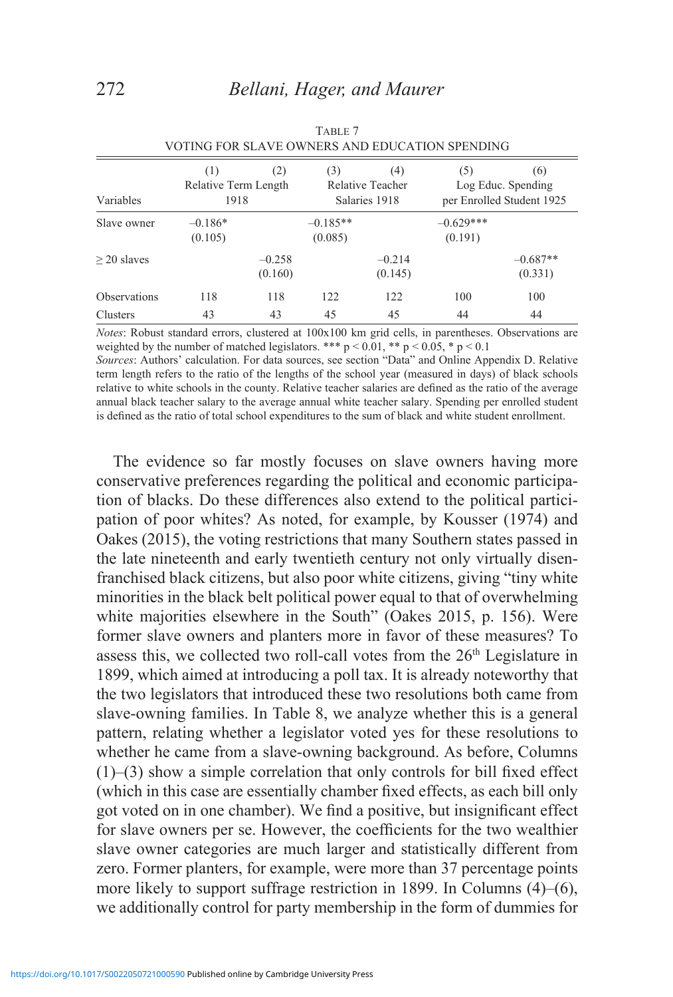| , o hivo i on sen i e o muens nuo educhitiva si endino |                      |          |                                            |                  |             |                    |
|--------------------------------------------------------|----------------------|----------|--------------------------------------------|------------------|-------------|--------------------|
|                                                        | (1)                  | (2)      | (3)                                        | (4)              | (5)         | (6)                |
|                                                        | Relative Term Length |          |                                            | Relative Teacher |             | Log Educ. Spending |
| Variables                                              | 1918                 |          | per Enrolled Student 1925<br>Salaries 1918 |                  |             |                    |
| Slave owner                                            | $-0.186*$            |          | $-0.185**$                                 |                  | $-0.629***$ |                    |
|                                                        | (0.105)              |          | (0.085)                                    |                  | (0.191)     |                    |
| $>$ 20 slaves                                          |                      | $-0.258$ |                                            | $-0.214$         |             | $-0.687**$         |
|                                                        |                      | (0.160)  |                                            | (0.145)          |             | (0.331)            |
| <b>Observations</b>                                    | 118                  | 118      | 122                                        | 122              | 100         | 100                |
| Clusters                                               | 43                   | 43       | 45                                         | 45               | 44          | 44                 |

| TABLE 7                                        |  |
|------------------------------------------------|--|
| VOTING FOR SLAVE OWNERS AND EDUCATION SPENDING |  |

*Notes*: Robust standard errors, clustered at  $100x100$  km grid cells, in parentheses. Observations are weighted by the number of matched legislators. \*\*\*  $p < 0.01$ , \*\*  $p < 0.05$ , \*  $p < 0.1$ *Sources*: Authors' calculation. For data sources, see section "Data" and Online Appendix D. Relative term length refers to the ratio of the lengths of the school year (measured in days) of black schools relative to white schools in the county. Relative teacher salaries are defined as the ratio of the average annual black teacher salary to the average annual white teacher salary. Spending per enrolled student is defined as the ratio of total school expenditures to the sum of black and white student enrollment.

The evidence so far mostly focuses on slave owners having more conservative preferences regarding the political and economic participation of blacks. Do these differences also extend to the political participation of poor whites? As noted, for example, by Kousser (1974) and Oakes (2015), the voting restrictions that many Southern states passed in the late nineteenth and early twentieth century not only virtually disenfranchised black citizens, but also poor white citizens, giving "tiny white minorities in the black belt political power equal to that of overwhelming white majorities elsewhere in the South" (Oakes 2015, p. 156). Were former slave owners and planters more in favor of these measures? To assess this, we collected two roll-call votes from the 26<sup>th</sup> Legislature in 1899, which aimed at introducing a poll tax. It is already noteworthy that the two legislators that introduced these two resolutions both came from slave-owning families. In Table 8, we analyze whether this is a general pattern, relating whether a legislator voted yes for these resolutions to whether he came from a slave-owning background. As before, Columns (1)–(3) show a simple correlation that only controls for bill fixed effect (which in this case are essentially chamber fixed effects, as each bill only got voted on in one chamber). We find a positive, but insignificant effect for slave owners per se. However, the coefficients for the two wealthier slave owner categories are much larger and statistically different from zero. Former planters, for example, were more than 37 percentage points more likely to support suffrage restriction in 1899. In Columns (4)–(6), we additionally control for party membership in the form of dummies for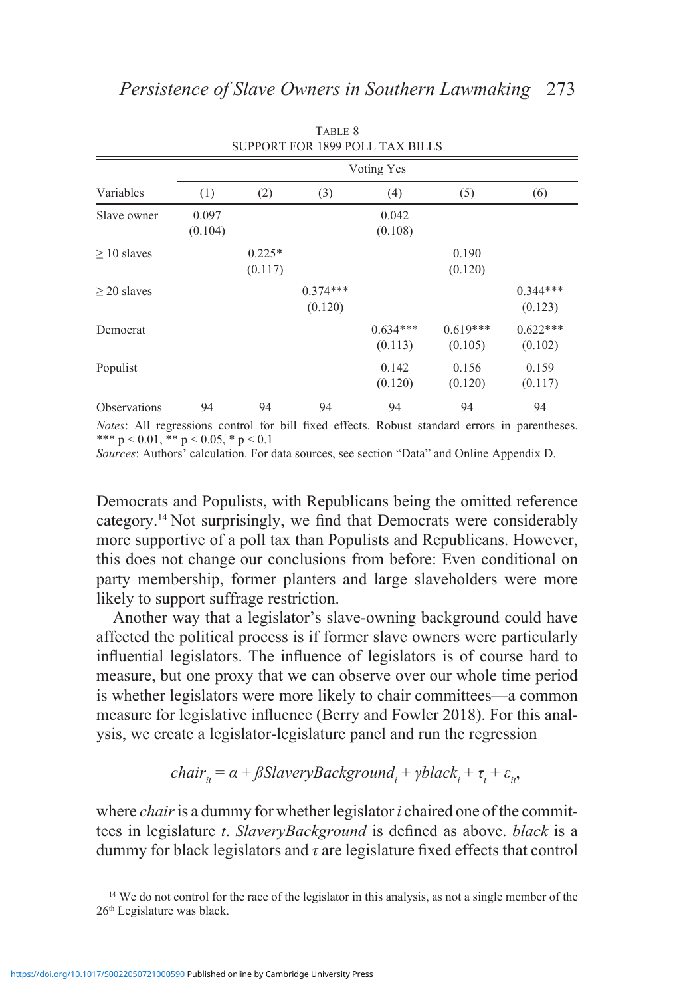|                     |                  |                     |                       | 901 FORT FOR 1977 FOLL TAA DILL9 |                       |                       |  |  |  |
|---------------------|------------------|---------------------|-----------------------|----------------------------------|-----------------------|-----------------------|--|--|--|
|                     | Voting Yes       |                     |                       |                                  |                       |                       |  |  |  |
| Variables           | (1)              | (2)                 | (3)                   | (4)                              | (5)                   | (6)                   |  |  |  |
| Slave owner         | 0.097<br>(0.104) |                     |                       | 0.042<br>(0.108)                 |                       |                       |  |  |  |
| $\geq 10$ slaves    |                  | $0.225*$<br>(0.117) |                       |                                  | 0.190<br>(0.120)      |                       |  |  |  |
| $\geq$ 20 slaves    |                  |                     | $0.374***$<br>(0.120) |                                  |                       | $0.344***$<br>(0.123) |  |  |  |
| Democrat            |                  |                     |                       | $0.634***$<br>(0.113)            | $0.619***$<br>(0.105) | $0.622***$<br>(0.102) |  |  |  |
| Populist            |                  |                     |                       | 0.142<br>(0.120)                 | 0.156<br>(0.120)      | 0.159<br>(0.117)      |  |  |  |
| <b>Observations</b> | 94               | 94                  | 94                    | 94                               | 94                    | 94                    |  |  |  |

Table 8 SUPPORT FOR 1899 POLL TAX BILLS

*Notes*: All regressions control for bill fixed effects. Robust standard errors in parentheses. \*\*\*  $p < 0.01$ , \*\*  $p < 0.05$ , \*  $p < 0.1$ 

*Sources*: Authors' calculation. For data sources, see section "Data" and Online Appendix D.

Democrats and Populists, with Republicans being the omitted reference category.14 Not surprisingly, we find that Democrats were considerably more supportive of a poll tax than Populists and Republicans. However, this does not change our conclusions from before: Even conditional on party membership, former planters and large slaveholders were more likely to support suffrage restriction.

Another way that a legislator's slave-owning background could have affected the political process is if former slave owners were particularly influential legislators. The influence of legislators is of course hard to measure, but one proxy that we can observe over our whole time period is whether legislators were more likely to chair committees—a common measure for legislative influence (Berry and Fowler 2018). For this analysis, we create a legislator-legislature panel and run the regression

$$
chair_{it} = \alpha + \beta SlaveryBackground_{i} + \gamma black_{i} + \tau_{i} + \varepsilon_{it},
$$

where *chair* is a dummy for whether legislator *i* chaired one of the committees in legislature *t*. *SlaveryBackground* is defined as above. *black* is a dummy for black legislators and *τ* are legislature fixed effects that control

<sup>&</sup>lt;sup>14</sup> We do not control for the race of the legislator in this analysis, as not a single member of the 26th Legislature was black.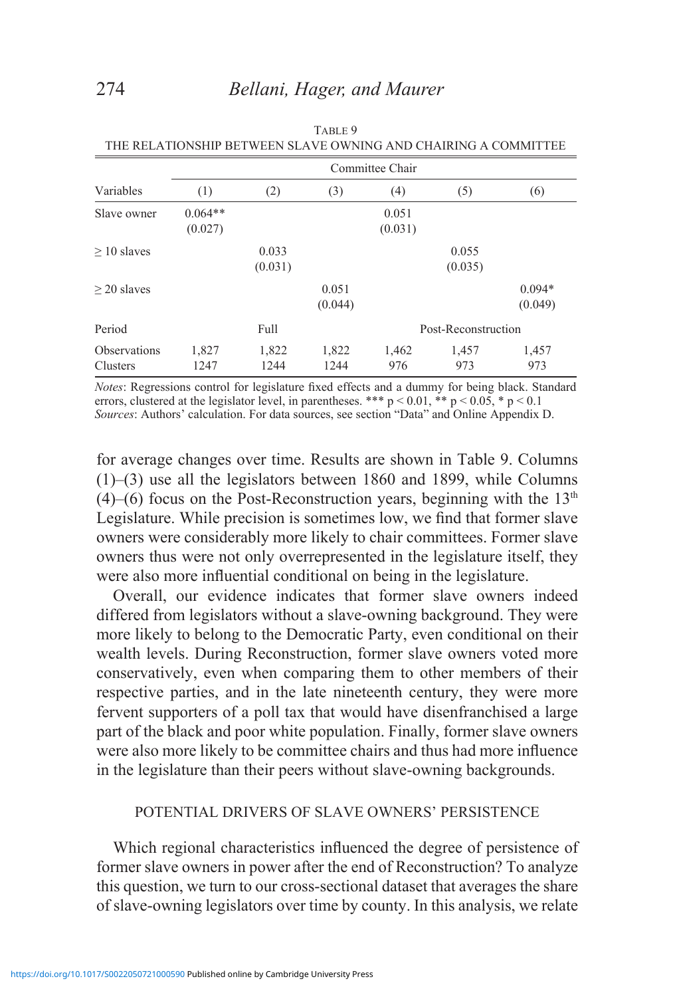|                     | Committee Chair |         |         |         |                     |          |  |
|---------------------|-----------------|---------|---------|---------|---------------------|----------|--|
| Variables           | (1)             | (2)     | (3)     | (4)     | (5)                 | (6)      |  |
| Slave owner         | $0.064**$       |         |         | 0.051   |                     |          |  |
|                     | (0.027)         |         |         | (0.031) |                     |          |  |
| $>10$ slaves        |                 | 0.033   |         |         | 0.055               |          |  |
|                     |                 | (0.031) |         |         | (0.035)             |          |  |
| $>$ 20 slaves       |                 |         | 0.051   |         |                     | $0.094*$ |  |
|                     |                 |         | (0.044) |         |                     | (0.049)  |  |
| Period              |                 | Full    |         |         | Post-Reconstruction |          |  |
| <b>Observations</b> | 1,827           | 1,822   | 1,822   | 1,462   | 1,457               | 1,457    |  |
| Clusters            | 1247            | 1244    | 1244    | 976     | 973                 | 973      |  |

| TABLE 9                                                        |  |
|----------------------------------------------------------------|--|
| THE RELATIONSHIP BETWEEN SLAVE OWNING AND CHAIRING A COMMITTEE |  |

*Notes*: Regressions control for legislature fixed effects and a dummy for being black. Standard errors, clustered at the legislator level, in parentheses. \*\*\*  $p < 0.01$ , \*\*  $p < 0.05$ , \*  $p < 0.1$ *Sources*: Authors' calculation. For data sources, see section "Data" and Online Appendix D.

for average changes over time. Results are shown in Table 9. Columns (1)–(3) use all the legislators between 1860 and 1899, while Columns (4)–(6) focus on the Post-Reconstruction years, beginning with the  $13<sup>th</sup>$ Legislature. While precision is sometimes low, we find that former slave owners were considerably more likely to chair committees. Former slave owners thus were not only overrepresented in the legislature itself, they were also more influential conditional on being in the legislature.

Overall, our evidence indicates that former slave owners indeed differed from legislators without a slave-owning background. They were more likely to belong to the Democratic Party, even conditional on their wealth levels. During Reconstruction, former slave owners voted more conservatively, even when comparing them to other members of their respective parties, and in the late nineteenth century, they were more fervent supporters of a poll tax that would have disenfranchised a large part of the black and poor white population. Finally, former slave owners were also more likely to be committee chairs and thus had more influence in the legislature than their peers without slave-owning backgrounds.

## POTENTIAL DRIVERS OF SLAVE OWNERS' PERSISTENCE

Which regional characteristics influenced the degree of persistence of former slave owners in power after the end of Reconstruction? To analyze this question, we turn to our cross-sectional dataset that averages the share of slave-owning legislators over time by county. In this analysis, we relate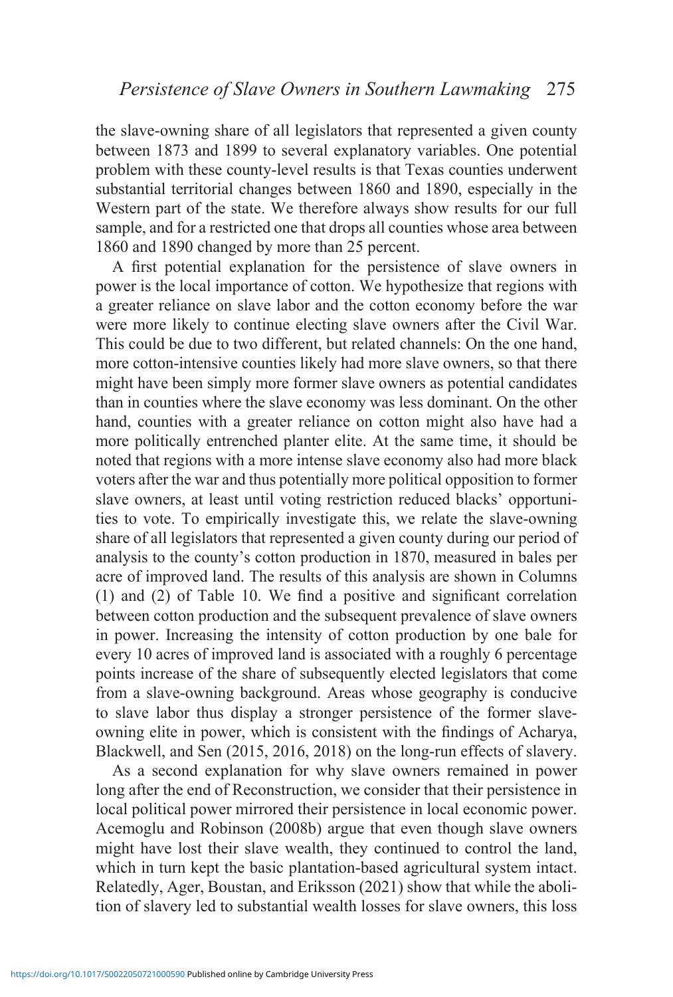the slave-owning share of all legislators that represented a given county between 1873 and 1899 to several explanatory variables. One potential problem with these county-level results is that Texas counties underwent substantial territorial changes between 1860 and 1890, especially in the Western part of the state. We therefore always show results for our full sample, and for a restricted one that drops all counties whose area between 1860 and 1890 changed by more than 25 percent.

A first potential explanation for the persistence of slave owners in power is the local importance of cotton. We hypothesize that regions with a greater reliance on slave labor and the cotton economy before the war were more likely to continue electing slave owners after the Civil War. This could be due to two different, but related channels: On the one hand, more cotton-intensive counties likely had more slave owners, so that there might have been simply more former slave owners as potential candidates than in counties where the slave economy was less dominant. On the other hand, counties with a greater reliance on cotton might also have had a more politically entrenched planter elite. At the same time, it should be noted that regions with a more intense slave economy also had more black voters after the war and thus potentially more political opposition to former slave owners, at least until voting restriction reduced blacks' opportunities to vote. To empirically investigate this, we relate the slave-owning share of all legislators that represented a given county during our period of analysis to the county's cotton production in 1870, measured in bales per acre of improved land. The results of this analysis are shown in Columns (1) and (2) of Table 10. We find a positive and significant correlation between cotton production and the subsequent prevalence of slave owners in power. Increasing the intensity of cotton production by one bale for every 10 acres of improved land is associated with a roughly 6 percentage points increase of the share of subsequently elected legislators that come from a slave-owning background. Areas whose geography is conducive to slave labor thus display a stronger persistence of the former slaveowning elite in power, which is consistent with the findings of Acharya, Blackwell, and Sen (2015, 2016, 2018) on the long-run effects of slavery.

As a second explanation for why slave owners remained in power long after the end of Reconstruction, we consider that their persistence in local political power mirrored their persistence in local economic power. Acemoglu and Robinson (2008b) argue that even though slave owners might have lost their slave wealth, they continued to control the land, which in turn kept the basic plantation-based agricultural system intact. Relatedly, Ager, Boustan, and Eriksson (2021) show that while the abolition of slavery led to substantial wealth losses for slave owners, this loss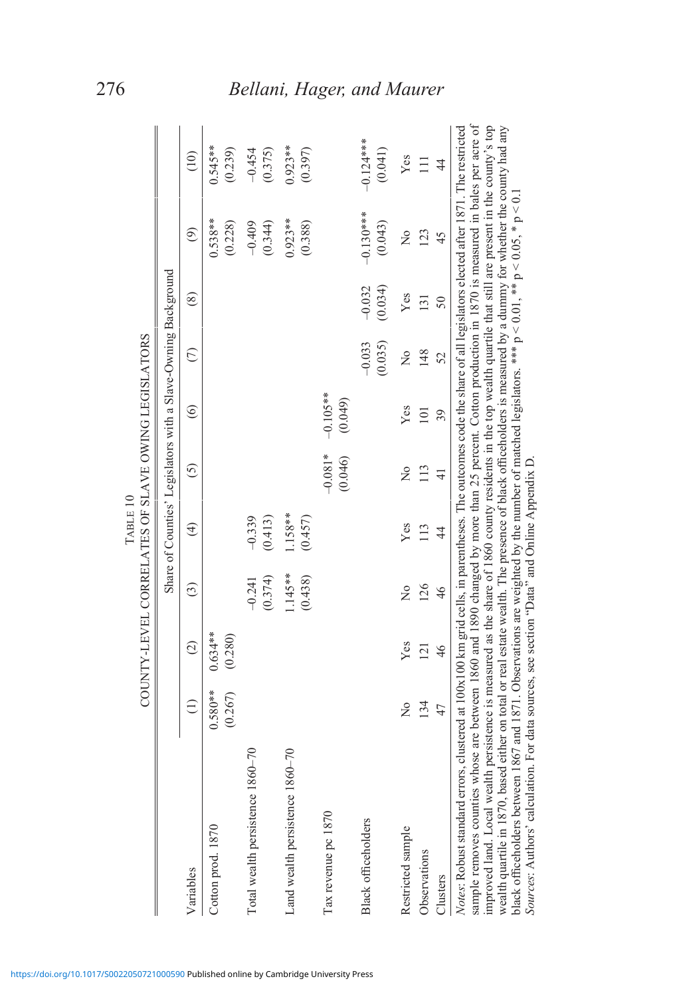|                                                                                                                                                                                                                                                                                                                                                                                                                                                                                                                                                                                                                                                                                                                                                                                                                                                                    |                      |                      |                      |                                                        |                      | COUNTY-LEVEL CORRELATES OF SLAVE OWING LEGISLATORS            |                     |                     |                        |                                                |
|--------------------------------------------------------------------------------------------------------------------------------------------------------------------------------------------------------------------------------------------------------------------------------------------------------------------------------------------------------------------------------------------------------------------------------------------------------------------------------------------------------------------------------------------------------------------------------------------------------------------------------------------------------------------------------------------------------------------------------------------------------------------------------------------------------------------------------------------------------------------|----------------------|----------------------|----------------------|--------------------------------------------------------|----------------------|---------------------------------------------------------------|---------------------|---------------------|------------------------|------------------------------------------------|
|                                                                                                                                                                                                                                                                                                                                                                                                                                                                                                                                                                                                                                                                                                                                                                                                                                                                    |                      |                      |                      |                                                        |                      | Share of Counties' Legislators with a Slave-Owning Background |                     |                     |                        |                                                |
| Variables                                                                                                                                                                                                                                                                                                                                                                                                                                                                                                                                                                                                                                                                                                                                                                                                                                                          |                      | $\widehat{c}$        | $\widehat{c}$        | $\bigoplus$                                            | $\overline{5}$       | $\circledcirc$                                                | $\widehat{C}$       | $\circledS$         | $\circledcirc$         | $\begin{pmatrix} 1 & 0 \\ 0 & 1 \end{pmatrix}$ |
| Cotton prod. 1870                                                                                                                                                                                                                                                                                                                                                                                                                                                                                                                                                                                                                                                                                                                                                                                                                                                  | $0.580**$<br>(0.267) | $0.634**$<br>(0.280) |                      |                                                        |                      |                                                               |                     |                     | $0.538**$<br>(0.228)   | $0.545**$<br>(0.239)                           |
| Total wealth persistence 1860-70                                                                                                                                                                                                                                                                                                                                                                                                                                                                                                                                                                                                                                                                                                                                                                                                                                   |                      |                      | (0.374)<br>$-0.241$  | $-0.339$<br>(0.413)                                    |                      |                                                               |                     |                     | (0.344)<br>$-0.409$    | (0.375)<br>$-0.454$                            |
| Land wealth persistence 1860-70                                                                                                                                                                                                                                                                                                                                                                                                                                                                                                                                                                                                                                                                                                                                                                                                                                    |                      |                      | $1.145**$<br>(0.438) | $1.158**$<br>(0.457)                                   |                      |                                                               |                     |                     | $0.923**$<br>(0.388)   | $0.923**$<br>(0.397)                           |
| Tax revenue pc 1870                                                                                                                                                                                                                                                                                                                                                                                                                                                                                                                                                                                                                                                                                                                                                                                                                                                |                      |                      |                      |                                                        | $-0.081*$<br>(0.046) | $-0.105**$<br>(0.049)                                         |                     |                     |                        |                                                |
| <b>Black officeholders</b>                                                                                                                                                                                                                                                                                                                                                                                                                                                                                                                                                                                                                                                                                                                                                                                                                                         |                      |                      |                      |                                                        |                      |                                                               | $-0.033$<br>(0.035) | $-0.032$<br>(0.034) | $-0.130***$<br>(0.043) | $-0.124***$<br>(0.041)                         |
| Restricted sample                                                                                                                                                                                                                                                                                                                                                                                                                                                                                                                                                                                                                                                                                                                                                                                                                                                  | $\frac{1}{2}$        | Yes                  | $\frac{1}{2}$        | Yes                                                    | $\overline{R}$       | Yes                                                           | $\frac{1}{2}$       | Yes                 | $\frac{1}{2}$          | Yes                                            |
| Observations                                                                                                                                                                                                                                                                                                                                                                                                                                                                                                                                                                                                                                                                                                                                                                                                                                                       | 134                  | 121                  | 126                  | 113                                                    | 113                  | 101                                                           | 148                 | 131                 | 123                    | $\Xi$                                          |
| Clusters                                                                                                                                                                                                                                                                                                                                                                                                                                                                                                                                                                                                                                                                                                                                                                                                                                                           | 47                   | 46                   | 46                   | $rac{4}{4}$                                            | $\frac{1}{4}$        | 39                                                            | 52                  | 50                  | 45                     | $\frac{4}{3}$                                  |
| sample removes counties whose are between 1860 and 1890 changed by more than 25 percent. Cotton production in 1870 is measured in bales per acre of<br>improved land. Local wealth persistence is measured as the share of 1860 county residents in the top wealth quartile that still are present in the county's top<br>wealth quartile in 1870, based either on total or real estate wealth. The presence of black officeholders is measured by a dummy for whether the county had any<br>Notes: Robust standard errors, clustered at 100x100 km grid cells, in parentheses. The outcomes code the share of all legislators elected after 1871. The restricted<br>black officeholders between 1867 and 1871. Observations are weighted by the number of matched legislators. *** $p < 0.01$ , ** $p < 0.05$ , * $p < 0$ .<br>Sources: Authors' calculation. For |                      |                      |                      | data sources, see section "Data" and Online Appendix D |                      |                                                               |                     |                     |                        |                                                |

Table 10

## 276 *Bellani, Hager, and Maurer*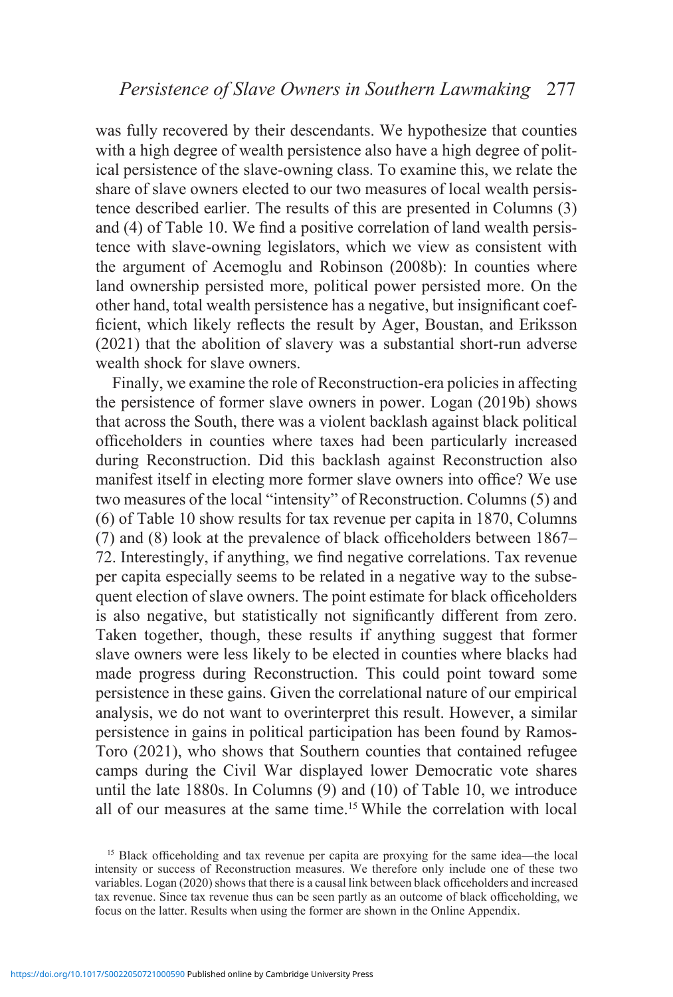was fully recovered by their descendants. We hypothesize that counties with a high degree of wealth persistence also have a high degree of political persistence of the slave-owning class. To examine this, we relate the share of slave owners elected to our two measures of local wealth persistence described earlier. The results of this are presented in Columns (3) and (4) of Table 10. We find a positive correlation of land wealth persistence with slave-owning legislators, which we view as consistent with the argument of Acemoglu and Robinson (2008b): In counties where land ownership persisted more, political power persisted more. On the other hand, total wealth persistence has a negative, but insignificant coefficient, which likely reflects the result by Ager, Boustan, and Eriksson (2021) that the abolition of slavery was a substantial short-run adverse wealth shock for slave owners.

Finally, we examine the role of Reconstruction-era policies in affecting the persistence of former slave owners in power. Logan (2019b) shows that across the South, there was a violent backlash against black political officeholders in counties where taxes had been particularly increased during Reconstruction. Did this backlash against Reconstruction also manifest itself in electing more former slave owners into office? We use two measures of the local "intensity" of Reconstruction. Columns (5) and (6) of Table 10 show results for tax revenue per capita in 1870, Columns (7) and (8) look at the prevalence of black officeholders between 1867– 72. Interestingly, if anything, we find negative correlations. Tax revenue per capita especially seems to be related in a negative way to the subsequent election of slave owners. The point estimate for black officeholders is also negative, but statistically not significantly different from zero. Taken together, though, these results if anything suggest that former slave owners were less likely to be elected in counties where blacks had made progress during Reconstruction. This could point toward some persistence in these gains. Given the correlational nature of our empirical analysis, we do not want to overinterpret this result. However, a similar persistence in gains in political participation has been found by Ramos-Toro (2021), who shows that Southern counties that contained refugee camps during the Civil War displayed lower Democratic vote shares until the late 1880s. In Columns (9) and (10) of Table 10, we introduce all of our measures at the same time.15 While the correlation with local

<sup>&</sup>lt;sup>15</sup> Black officeholding and tax revenue per capita are proxying for the same idea—the local intensity or success of Reconstruction measures. We therefore only include one of these two variables. Logan (2020) shows that there is a causal link between black officeholders and increased tax revenue. Since tax revenue thus can be seen partly as an outcome of black officeholding, we focus on the latter. Results when using the former are shown in the Online Appendix.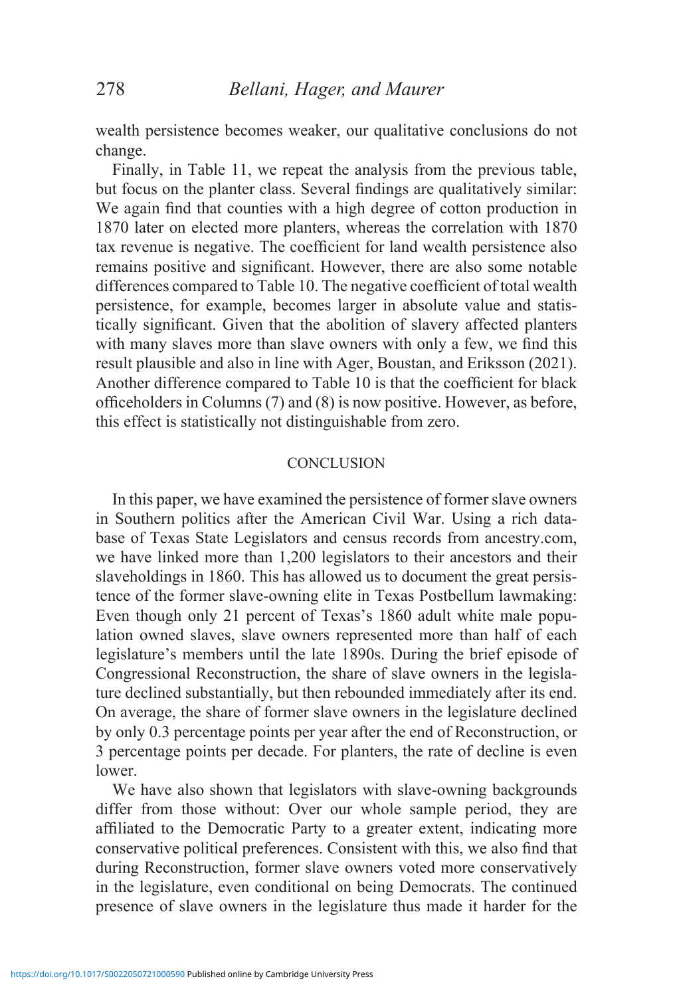wealth persistence becomes weaker, our qualitative conclusions do not change.

Finally, in Table 11, we repeat the analysis from the previous table, but focus on the planter class. Several findings are qualitatively similar: We again find that counties with a high degree of cotton production in 1870 later on elected more planters, whereas the correlation with 1870 tax revenue is negative. The coefficient for land wealth persistence also remains positive and significant. However, there are also some notable differences compared to Table 10. The negative coefficient of total wealth persistence, for example, becomes larger in absolute value and statistically significant. Given that the abolition of slavery affected planters with many slaves more than slave owners with only a few, we find this result plausible and also in line with Ager, Boustan, and Eriksson (2021). Another difference compared to Table 10 is that the coefficient for black officeholders in Columns (7) and (8) is now positive. However, as before, this effect is statistically not distinguishable from zero.

#### **CONCLUSION**

In this paper, we have examined the persistence of former slave owners in Southern politics after the American Civil War. Using a rich database of Texas State Legislators and census records from ancestry.com, we have linked more than 1,200 legislators to their ancestors and their slaveholdings in 1860. This has allowed us to document the great persistence of the former slave-owning elite in Texas Postbellum lawmaking: Even though only 21 percent of Texas's 1860 adult white male population owned slaves, slave owners represented more than half of each legislature's members until the late 1890s. During the brief episode of Congressional Reconstruction, the share of slave owners in the legislature declined substantially, but then rebounded immediately after its end. On average, the share of former slave owners in the legislature declined by only 0.3 percentage points per year after the end of Reconstruction, or 3 percentage points per decade. For planters, the rate of decline is even lower.

We have also shown that legislators with slave-owning backgrounds differ from those without: Over our whole sample period, they are affiliated to the Democratic Party to a greater extent, indicating more conservative political preferences. Consistent with this, we also find that during Reconstruction, former slave owners voted more conservatively in the legislature, even conditional on being Democrats. The continued presence of slave owners in the legislature thus made it harder for the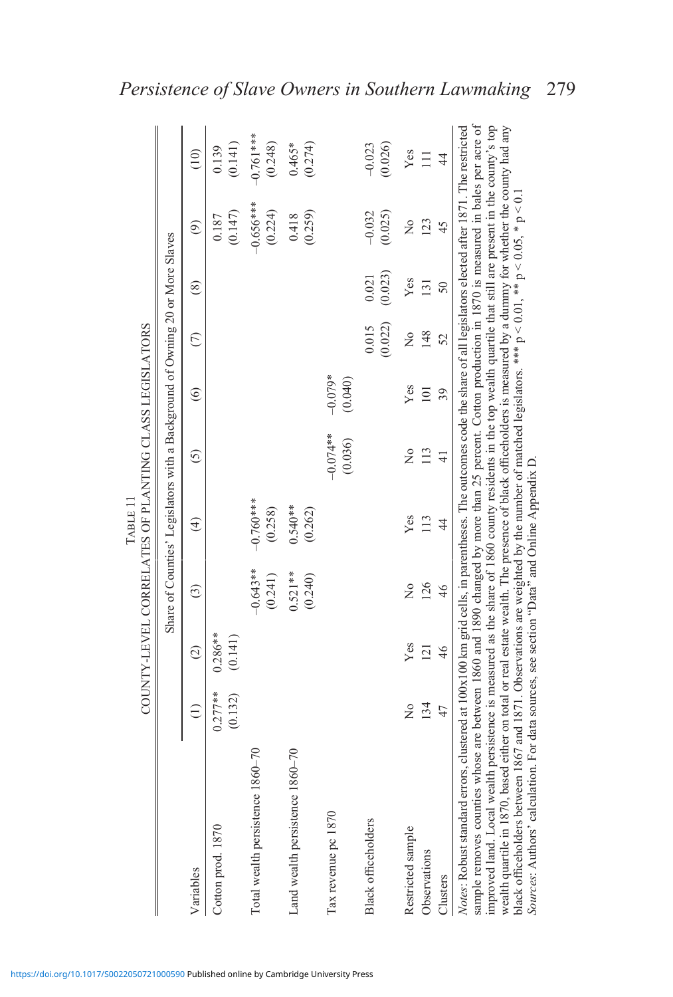|                                                                                                                                                                                                                                                                                                                                                                                                                                                                                                                                                                                                                                                                                                                                                                                                                                                                                                                           |                      |                      |                       | COUNTY-LEVEL CORRELATES OF PLANTING CLASS LEGISLATORS                        |                       |                      |                     |                  |                        |                        |
|---------------------------------------------------------------------------------------------------------------------------------------------------------------------------------------------------------------------------------------------------------------------------------------------------------------------------------------------------------------------------------------------------------------------------------------------------------------------------------------------------------------------------------------------------------------------------------------------------------------------------------------------------------------------------------------------------------------------------------------------------------------------------------------------------------------------------------------------------------------------------------------------------------------------------|----------------------|----------------------|-----------------------|------------------------------------------------------------------------------|-----------------------|----------------------|---------------------|------------------|------------------------|------------------------|
|                                                                                                                                                                                                                                                                                                                                                                                                                                                                                                                                                                                                                                                                                                                                                                                                                                                                                                                           |                      |                      |                       | Share of Counties' Legislators with a Background of Owning 20 or More Slaves |                       |                      |                     |                  |                        |                        |
| Variables                                                                                                                                                                                                                                                                                                                                                                                                                                                                                                                                                                                                                                                                                                                                                                                                                                                                                                                 | $\widehat{\Xi}$      | $\widehat{\circ}$    | ි)                    | $\widehat{\mathfrak{t}}$                                                     | <u>රි</u>             | $\circledcirc$       | $\widehat{\subset}$ | $\circledS$      | $\widehat{\odot}$      | (10)                   |
| Cotton prod. 1870                                                                                                                                                                                                                                                                                                                                                                                                                                                                                                                                                                                                                                                                                                                                                                                                                                                                                                         | $0.277**$<br>(0.132) | $0.286**$<br>(0.141) |                       |                                                                              |                       |                      |                     |                  | (0.147)<br>0.187       | (0.141)<br>0.139       |
| Total wealth persistence 1860-70                                                                                                                                                                                                                                                                                                                                                                                                                                                                                                                                                                                                                                                                                                                                                                                                                                                                                          |                      |                      | $-0.643**$<br>(0.241) | $-0.760***$<br>(0.258)                                                       |                       |                      |                     |                  | $-0.656***$<br>(0.224) | $-0.761***$<br>(0.248) |
| Land wealth persistence 1860-70                                                                                                                                                                                                                                                                                                                                                                                                                                                                                                                                                                                                                                                                                                                                                                                                                                                                                           |                      |                      | $0.521**$<br>(0.240)  | $0.540**$<br>(0.262)                                                         |                       |                      |                     |                  | (0.259)<br>0.418       | (0.274)<br>$0.465*$    |
| Tax revenue pc 1870                                                                                                                                                                                                                                                                                                                                                                                                                                                                                                                                                                                                                                                                                                                                                                                                                                                                                                       |                      |                      |                       |                                                                              | $-0.074**$<br>(0.036) | $-0.079*$<br>(0.040) |                     |                  |                        |                        |
| <b>Black officeholders</b>                                                                                                                                                                                                                                                                                                                                                                                                                                                                                                                                                                                                                                                                                                                                                                                                                                                                                                |                      |                      |                       |                                                                              |                       |                      | (0.022)<br>0.015    | (0.023)<br>0.021 | (0.025)<br>$-0.032$    | (0.026)<br>$-0.023$    |
| Restricted sample                                                                                                                                                                                                                                                                                                                                                                                                                                                                                                                                                                                                                                                                                                                                                                                                                                                                                                         | ž                    | Yes                  | $\frac{1}{2}$         | Yes                                                                          | $\frac{1}{2}$         | Yes                  | $\frac{1}{2}$       | Yes              | $\frac{1}{2}$          | Yes                    |
| Observations                                                                                                                                                                                                                                                                                                                                                                                                                                                                                                                                                                                                                                                                                                                                                                                                                                                                                                              | 134                  | $\overline{121}$     | 126                   | 113                                                                          | 113                   | 101                  | 148                 | 131              | 123                    | $\Xi$                  |
| Clusters                                                                                                                                                                                                                                                                                                                                                                                                                                                                                                                                                                                                                                                                                                                                                                                                                                                                                                                  | 47                   | 46                   | 46                    | $\frac{4}{3}$                                                                | $\frac{1}{4}$         | 39                   | 52                  | $50\,$           | 45                     | $\frac{4}{4}$          |
| sample removes counties whose are between 1860 and 1890 changed by more than 25 percent. Cotton production in 1870 is measured in bales per acre of<br>improved land. Local wealth persistence is measured as the share of 1860 county residents in the top wealth quartile that still are present in the county's top<br>wealth quartile in 1870, based either on total or real estate wealth. The presence of black officeholders is measured by a dummy for whether the county had any<br>Notes: Robust standard errors, clustered at 100x100 km grid cells, in parentheses. The outcomes code the share of all legislators elected after 1871. The restricted<br>black officeholders between 1867 and 1871. Observations are weighted by the number of matched legislators. *** $p < 0.001$ , ** $p < 0.1$ , * $p < 0.1$<br>Sources: Authors' calculation. For data sources, see section "Data" and Online Appendix D |                      |                      |                       |                                                                              |                       |                      |                     |                  |                        |                        |

Table 11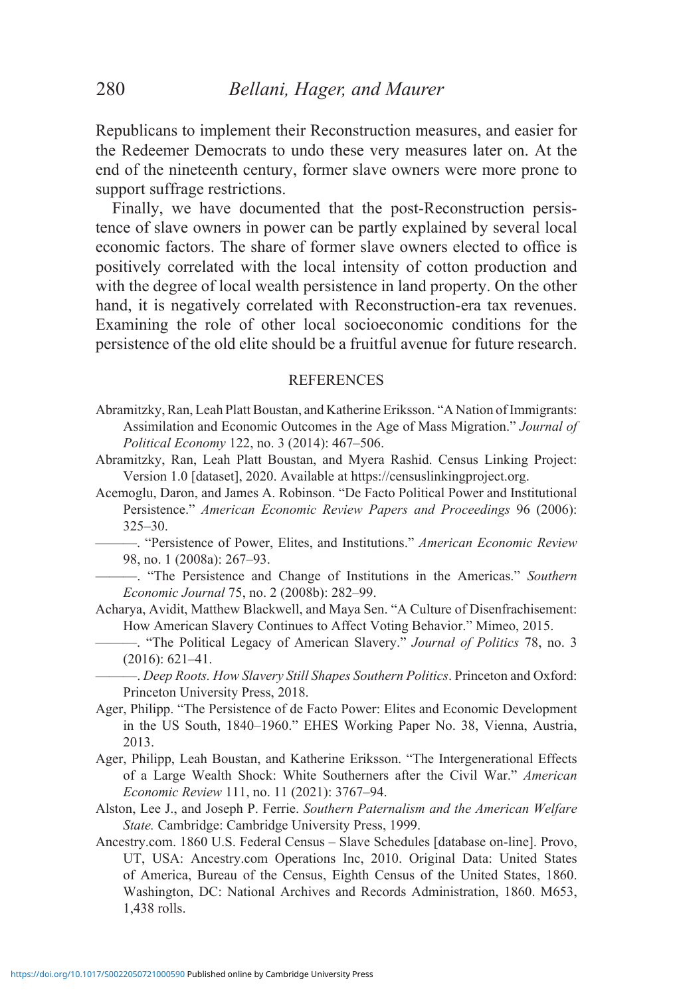Republicans to implement their Reconstruction measures, and easier for the Redeemer Democrats to undo these very measures later on. At the end of the nineteenth century, former slave owners were more prone to support suffrage restrictions.

Finally, we have documented that the post-Reconstruction persistence of slave owners in power can be partly explained by several local economic factors. The share of former slave owners elected to office is positively correlated with the local intensity of cotton production and with the degree of local wealth persistence in land property. On the other hand, it is negatively correlated with Reconstruction-era tax revenues. Examining the role of other local socioeconomic conditions for the persistence of the old elite should be a fruitful avenue for future research.

#### REFERENCES

- Abramitzky, Ran, Leah Platt Boustan, and Katherine Eriksson. "A Nation of Immigrants: Assimilation and Economic Outcomes in the Age of Mass Migration." *Journal of Political Economy* 122, no. 3 (2014): 467–506.
- Abramitzky, Ran, Leah Platt Boustan, and Myera Rashid. Census Linking Project: Version 1.0 [dataset], 2020. Available at https://censuslinkingproject.org.
- Acemoglu, Daron, and James A. Robinson. "De Facto Political Power and Institutional Persistence." *American Economic Review Papers and Proceedings* 96 (2006): 325–30.
	- ———. "Persistence of Power, Elites, and Institutions." *American Economic Review* 98, no. 1 (2008a): 267–93.
		- ———. "The Persistence and Change of Institutions in the Americas." *Southern Economic Journal* 75, no. 2 (2008b): 282–99.
- Acharya, Avidit, Matthew Blackwell, and Maya Sen. "A Culture of Disenfrachisement: How American Slavery Continues to Affect Voting Behavior." Mimeo, 2015.
	- ———. "The Political Legacy of American Slavery." *Journal of Politics* 78, no. 3 (2016): 621–41.
		- ———. *Deep Roots. How Slavery Still Shapes Southern Politics*. Princeton and Oxford: Princeton University Press, 2018.
- Ager, Philipp. "The Persistence of de Facto Power: Elites and Economic Development in the US South, 1840–1960." EHES Working Paper No. 38, Vienna, Austria, 2013.
- Ager, Philipp, Leah Boustan, and Katherine Eriksson. "The Intergenerational Effects of a Large Wealth Shock: White Southerners after the Civil War." *American Economic Review* 111, no. 11 (2021): 3767–94.
- Alston, Lee J., and Joseph P. Ferrie. *Southern Paternalism and the American Welfare State.* Cambridge: Cambridge University Press, 1999.
- Ancestry.com. 1860 U.S. Federal Census Slave Schedules [database on-line]. Provo, UT, USA: Ancestry.com Operations Inc, 2010. Original Data: United States of America, Bureau of the Census, Eighth Census of the United States, 1860. Washington, DC: National Archives and Records Administration, 1860. M653, 1,438 rolls.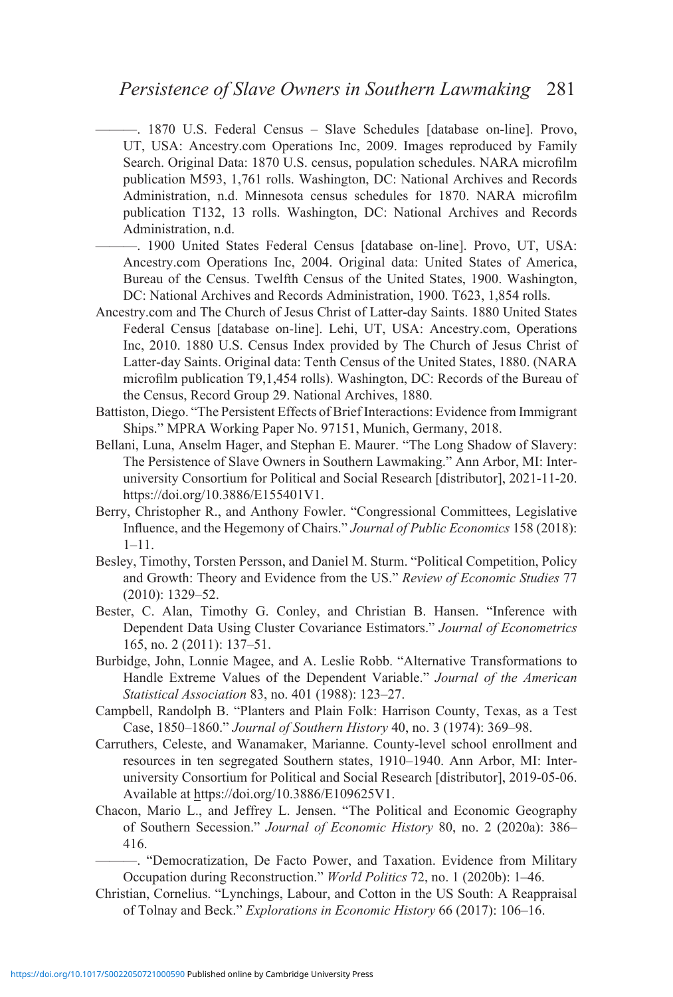———. 1870 U.S. Federal Census – Slave Schedules [database on-line]. Provo, UT, USA: Ancestry.com Operations Inc, 2009. Images reproduced by Family Search. Original Data: 1870 U.S. census, population schedules. NARA microfilm publication M593, 1,761 rolls. Washington, DC: National Archives and Records Administration, n.d. Minnesota census schedules for 1870. NARA microfilm publication T132, 13 rolls. Washington, DC: National Archives and Records Administration, n.d.

- ———. 1900 United States Federal Census [database on-line]. Provo, UT, USA: Ancestry.com Operations Inc, 2004. Original data: United States of America, Bureau of the Census. Twelfth Census of the United States, 1900. Washington, DC: National Archives and Records Administration, 1900. T623, 1,854 rolls.
- Ancestry.com and The Church of Jesus Christ of Latter-day Saints. 1880 United States Federal Census [database on-line]. Lehi, UT, USA: Ancestry.com, Operations Inc, 2010. 1880 U.S. Census Index provided by The Church of Jesus Christ of Latter-day Saints. Original data: Tenth Census of the United States, 1880. (NARA microfilm publication T9,1,454 rolls). Washington, DC: Records of the Bureau of the Census, Record Group 29. National Archives, 1880.
- Battiston, Diego. "The Persistent Effects of Brief Interactions: Evidence from Immigrant Ships." MPRA Working Paper No. 97151, Munich, Germany, 2018.
- Bellani, Luna, Anselm Hager, and Stephan E. Maurer. "The Long Shadow of Slavery: The Persistence of Slave Owners in Southern Lawmaking." Ann Arbor, MI: Interuniversity Consortium for Political and Social Research [distributor], 2021-11-20. https://doi.org/10.3886/E155401V1.
- Berry, Christopher R., and Anthony Fowler. "Congressional Committees, Legislative Influence, and the Hegemony of Chairs." *Journal of Public Economics* 158 (2018): 1–11.
- Besley, Timothy, Torsten Persson, and Daniel M. Sturm. "Political Competition, Policy and Growth: Theory and Evidence from the US." *Review of Economic Studies* 77 (2010): 1329–52.
- Bester, C. Alan, Timothy G. Conley, and Christian B. Hansen. "Inference with Dependent Data Using Cluster Covariance Estimators." *Journal of Econometrics* 165, no. 2 (2011): 137–51.
- Burbidge, John, Lonnie Magee, and A. Leslie Robb. "Alternative Transformations to Handle Extreme Values of the Dependent Variable." *Journal of the American Statistical Association* 83, no. 401 (1988): 123–27.
- Campbell, Randolph B. "Planters and Plain Folk: Harrison County, Texas, as a Test Case, 1850–1860." *Journal of Southern History* 40, no. 3 (1974): 369–98.
- Carruthers, Celeste, and Wanamaker, Marianne. County-level school enrollment and resources in ten segregated Southern states, 1910–1940. Ann Arbor, MI: Interuniversity Consortium for Political and Social Research [distributor], 2019-05-06. Available at https://doi.org/10.3886/E109625V1.
- Chacon, Mario L., and Jeffrey L. Jensen. "The Political and Economic Geography of Southern Secession." *Journal of Economic History* 80, no. 2 (2020a): 386– 416.
	- ———. "Democratization, De Facto Power, and Taxation. Evidence from Military Occupation during Reconstruction." *World Politics* 72, no. 1 (2020b): 1–46.
- Christian, Cornelius. "Lynchings, Labour, and Cotton in the US South: A Reappraisal of Tolnay and Beck." *Explorations in Economic History* 66 (2017): 106–16.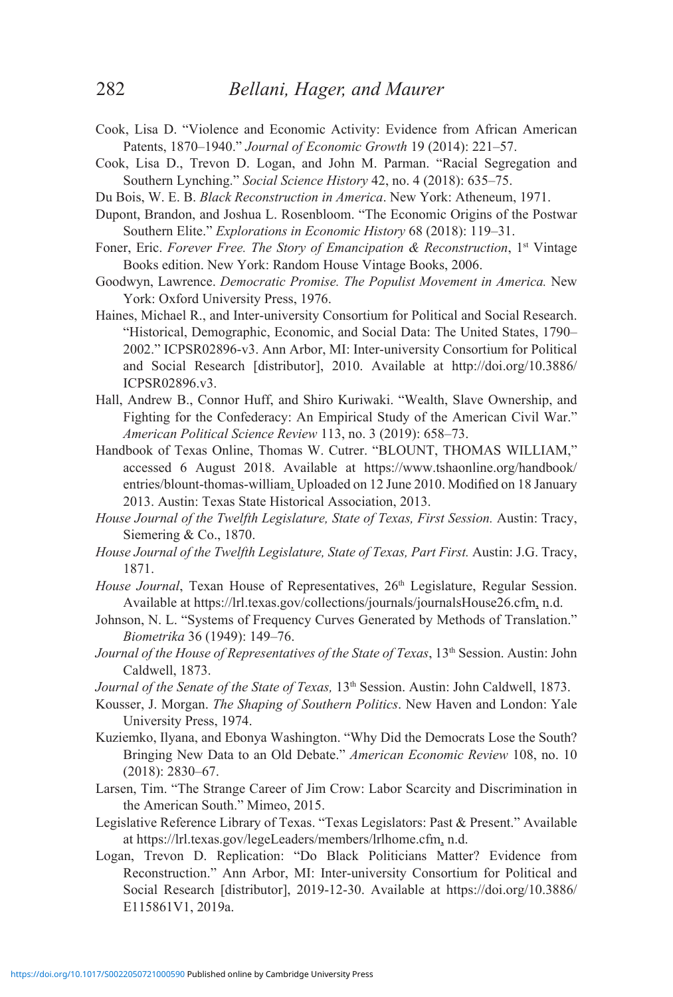- Cook, Lisa D. "Violence and Economic Activity: Evidence from African American Patents, 1870–1940." *Journal of Economic Growth* 19 (2014): 221–57.
- Cook, Lisa D., Trevon D. Logan, and John M. Parman. "Racial Segregation and Southern Lynching." *Social Science History* 42, no. 4 (2018): 635–75.
- Du Bois, W. E. B. *Black Reconstruction in America*. New York: Atheneum, 1971.
- Dupont, Brandon, and Joshua L. Rosenbloom. "The Economic Origins of the Postwar Southern Elite." *Explorations in Economic History* 68 (2018): 119–31.
- Foner, Eric. *Forever Free. The Story of Emancipation & Reconstruction*, 1<sup>st</sup> Vintage Books edition. New York: Random House Vintage Books, 2006.
- Goodwyn, Lawrence. *Democratic Promise. The Populist Movement in America.* New York: Oxford University Press, 1976.
- Haines, Michael R., and Inter-university Consortium for Political and Social Research. "Historical, Demographic, Economic, and Social Data: The United States, 1790– 2002." ICPSR02896-v3. Ann Arbor, MI: Inter-university Consortium for Political and Social Research [distributor], 2010. Available at http://doi.org/10.3886/ ICPSR02896.v3.
- Hall, Andrew B., Connor Huff, and Shiro Kuriwaki. "Wealth, Slave Ownership, and Fighting for the Confederacy: An Empirical Study of the American Civil War." *American Political Science Review* 113, no. 3 (2019): 658–73.
- Handbook of Texas Online, Thomas W. Cutrer. "BLOUNT, THOMAS WILLIAM," accessed 6 August 2018. Available at https://www.tshaonline.org/handbook/ entries/blount-thomas-william. Uploaded on 12 June 2010. Modified on 18 January 2013. Austin: Texas State Historical Association, 2013.
- *House Journal of the Twelfth Legislature, State of Texas, First Session.* Austin: Tracy, Siemering & Co., 1870.
- *House Journal of the Twelfth Legislature, State of Texas, Part First.* Austin: J.G. Tracy, 1871.
- *House Journal*, Texan House of Representatives,  $26<sup>th</sup>$  Legislature, Regular Session. Available at https://lrl.texas.gov/collections/journals/journalsHouse26.cfm, n.d.
- Johnson, N. L. "Systems of Frequency Curves Generated by Methods of Translation." *Biometrika* 36 (1949): 149–76.
- *Journal of the House of Representatives of the State of Texas*, 13<sup>th</sup> Session. Austin: John Caldwell, 1873.
- *Journal of the Senate of the State of Texas,* 13<sup>th</sup> Session. Austin: John Caldwell, 1873.
- Kousser, J. Morgan. *The Shaping of Southern Politics*. New Haven and London: Yale University Press, 1974.
- Kuziemko, Ilyana, and Ebonya Washington. "Why Did the Democrats Lose the South? Bringing New Data to an Old Debate." *American Economic Review* 108, no. 10 (2018): 2830–67.
- Larsen, Tim. "The Strange Career of Jim Crow: Labor Scarcity and Discrimination in the American South." Mimeo, 2015.
- Legislative Reference Library of Texas. "Texas Legislators: Past & Present." Available at https://lrl.texas.gov/legeLeaders/members/lrlhome.cfm, n.d.
- Logan, Trevon D. Replication: "Do Black Politicians Matter? Evidence from Reconstruction." Ann Arbor, MI: Inter-university Consortium for Political and Social Research [distributor], 2019-12-30. Available at https://doi.org/10.3886/ E115861V1, 2019a.